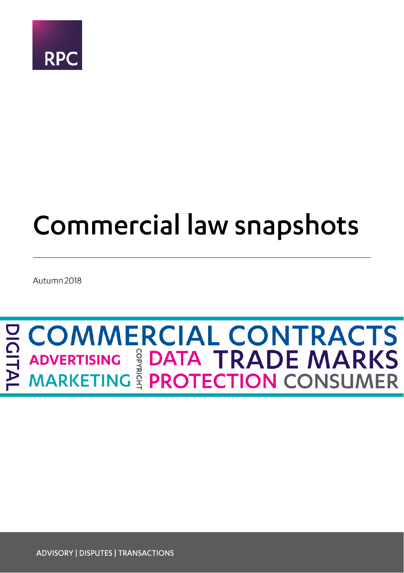

## **Commercial law snapshots**

Autumn 2018

# **EL COMMERCIAL CONTRACTS<br>
THE ADVERTISING SE DATA TRADE MARKS<br>
PE MARKETING SE PROTECTION CONSUMER**

**ADVISORY | DISPUTES | TRANSACTIONS**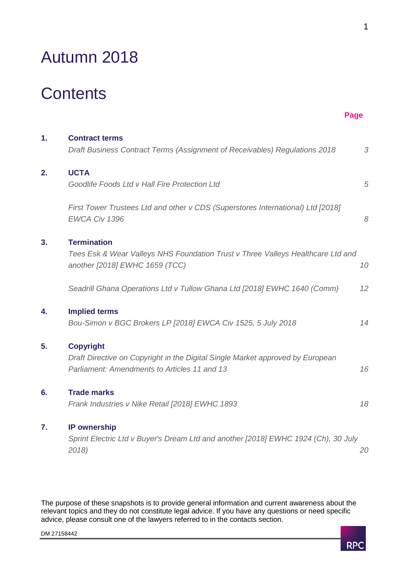## Autumn 2018

## **Contents**

| 1. | <b>Contract terms</b><br>Draft Business Contract Terms (Assignment of Receivables) Regulations 2018                                                | 3  |
|----|----------------------------------------------------------------------------------------------------------------------------------------------------|----|
| 2. | <b>UCTA</b><br>Goodlife Foods Ltd v Hall Fire Protection Ltd                                                                                       | 5  |
|    | First Tower Trustees Ltd and other v CDS (Superstores International) Ltd [2018]<br>EWCA Civ 1396                                                   | 8  |
| 3. | <b>Termination</b><br>Tees Esk & Wear Valleys NHS Foundation Trust v Three Valleys Healthcare Ltd and<br>another [2018] EWHC 1659 (TCC)            | 10 |
|    | Seadrill Ghana Operations Ltd v Tullow Ghana Ltd [2018] EWHC 1640 (Comm)                                                                           | 12 |
| 4. | <b>Implied terms</b><br>Bou-Simon v BGC Brokers LP [2018] EWCA Civ 1525, 5 July 2018                                                               | 14 |
| 5. | <b>Copyright</b><br>Draft Directive on Copyright in the Digital Single Market approved by European<br>Parliament: Amendments to Articles 11 and 13 | 16 |
| 6. | <b>Trade marks</b><br>Frank Industries v Nike Retail [2018] EWHC 1893                                                                              | 18 |
| 7. | <b>IP</b> ownership<br>Sprint Electric Ltd v Buyer's Dream Ltd and another [2018] EWHC 1924 (Ch), 30 July<br>2018)                                 | 20 |

The purpose of these snapshots is to provide general information and current awareness about the relevant topics and they do not constitute legal advice. If you have any questions or need specific advice, please consult one of the lawyers referred to in the contacts section.

**Page**

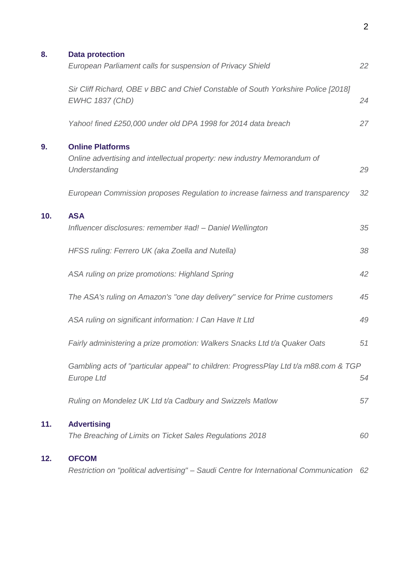| 8.  | <b>Data protection</b><br>European Parliament calls for suspension of Privacy Shield                                 | 22 |
|-----|----------------------------------------------------------------------------------------------------------------------|----|
|     | Sir Cliff Richard, OBE v BBC and Chief Constable of South Yorkshire Police [2018]<br>EWHC 1837 (ChD)                 | 24 |
|     | Yahoo! fined £250,000 under old DPA 1998 for 2014 data breach                                                        | 27 |
| 9.  | <b>Online Platforms</b><br>Online advertising and intellectual property: new industry Memorandum of<br>Understanding | 29 |
|     | European Commission proposes Regulation to increase fairness and transparency                                        | 32 |
| 10. | <b>ASA</b><br>Influencer disclosures: remember #ad! - Daniel Wellington                                              | 35 |
|     | HFSS ruling: Ferrero UK (aka Zoella and Nutella)                                                                     | 38 |
|     | ASA ruling on prize promotions: Highland Spring                                                                      | 42 |
|     | The ASA's ruling on Amazon's "one day delivery" service for Prime customers                                          | 45 |
|     | ASA ruling on significant information: I Can Have It Ltd                                                             | 49 |
|     | Fairly administering a prize promotion: Walkers Snacks Ltd t/a Quaker Oats                                           | 51 |
|     | Gambling acts of "particular appeal" to children: ProgressPlay Ltd t/a m88.com & TGP<br>Europe Ltd                   | 54 |
|     | Ruling on Mondelez UK Ltd t/a Cadbury and Swizzels Matlow                                                            | 57 |
| 11. | <b>Advertising</b><br>The Breaching of Limits on Ticket Sales Regulations 2018                                       | 60 |
| 12. | <b>OFCOM</b><br>Restriction on "political advertising" - Saudi Centre for International Communication                | 62 |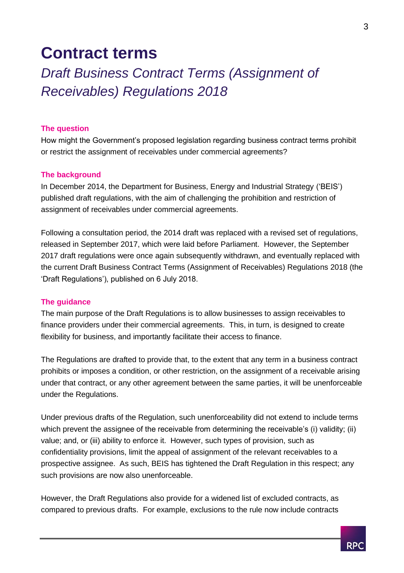## <span id="page-3-0"></span>**Contract terms**

## <span id="page-3-1"></span>*Draft Business Contract Terms (Assignment of Receivables) Regulations 2018*

#### **The question**

How might the Government's proposed legislation regarding business contract terms prohibit or restrict the assignment of receivables under commercial agreements?

#### **The background**

In December 2014, the Department for Business, Energy and Industrial Strategy ('BEIS') published draft regulations, with the aim of challenging the prohibition and restriction of assignment of receivables under commercial agreements.

Following a consultation period, the 2014 draft was replaced with a revised set of regulations, released in September 2017, which were laid before Parliament. However, the September 2017 draft regulations were once again subsequently withdrawn, and eventually replaced with the current Draft Business Contract Terms (Assignment of Receivables) Regulations 2018 (the 'Draft Regulations'), published on 6 July 2018.

#### **The guidance**

The main purpose of the Draft Regulations is to allow businesses to assign receivables to finance providers under their commercial agreements. This, in turn, is designed to create flexibility for business, and importantly facilitate their access to finance.

The Regulations are drafted to provide that, to the extent that any term in a business contract prohibits or imposes a condition, or other restriction, on the assignment of a receivable arising under that contract, or any other agreement between the same parties, it will be unenforceable under the Regulations.

Under previous drafts of the Regulation, such unenforceability did not extend to include terms which prevent the assignee of the receivable from determining the receivable's (i) validity; (ii) value; and, or (iii) ability to enforce it. However, such types of provision, such as confidentiality provisions, limit the appeal of assignment of the relevant receivables to a prospective assignee. As such, BEIS has tightened the Draft Regulation in this respect; any such provisions are now also unenforceable.

However, the Draft Regulations also provide for a widened list of excluded contracts, as compared to previous drafts. For example, exclusions to the rule now include contracts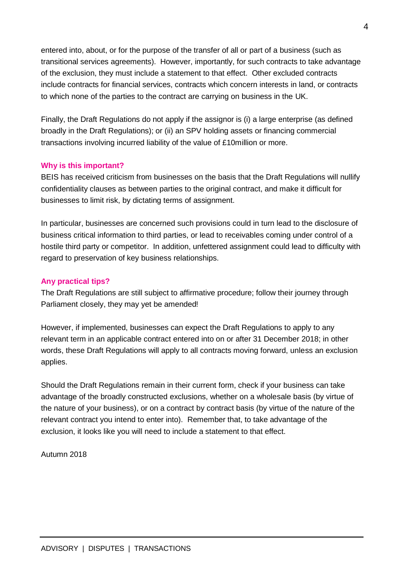entered into, about, or for the purpose of the transfer of all or part of a business (such as transitional services agreements). However, importantly, for such contracts to take advantage of the exclusion, they must include a statement to that effect. Other excluded contracts include contracts for financial services, contracts which concern interests in land, or contracts to which none of the parties to the contract are carrying on business in the UK.

Finally, the Draft Regulations do not apply if the assignor is (i) a large enterprise (as defined broadly in the Draft Regulations); or (ii) an SPV holding assets or financing commercial transactions involving incurred liability of the value of £10million or more.

#### **Why is this important?**

BEIS has received criticism from businesses on the basis that the Draft Regulations will nullify confidentiality clauses as between parties to the original contract, and make it difficult for businesses to limit risk, by dictating terms of assignment.

In particular, businesses are concerned such provisions could in turn lead to the disclosure of business critical information to third parties, or lead to receivables coming under control of a hostile third party or competitor. In addition, unfettered assignment could lead to difficulty with regard to preservation of key business relationships.

#### **Any practical tips?**

The Draft Regulations are still subject to affirmative procedure; follow their journey through Parliament closely, they may yet be amended!

However, if implemented, businesses can expect the Draft Regulations to apply to any relevant term in an applicable contract entered into on or after 31 December 2018; in other words, these Draft Regulations will apply to all contracts moving forward, unless an exclusion applies.

Should the Draft Regulations remain in their current form, check if your business can take advantage of the broadly constructed exclusions, whether on a wholesale basis (by virtue of the nature of your business), or on a contract by contract basis (by virtue of the nature of the relevant contract you intend to enter into). Remember that, to take advantage of the exclusion, it looks like you will need to include a statement to that effect.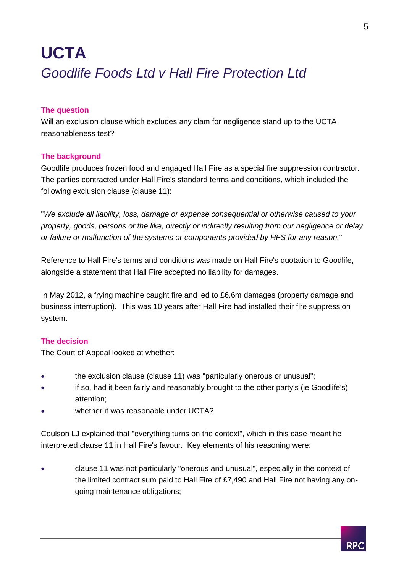## <span id="page-5-1"></span><span id="page-5-0"></span>**UCTA** *Goodlife Foods Ltd v Hall Fire Protection Ltd*

#### **The question**

Will an exclusion clause which excludes any clam for negligence stand up to the UCTA reasonableness test?

#### **The background**

Goodlife produces frozen food and engaged Hall Fire as a special fire suppression contractor. The parties contracted under Hall Fire's standard terms and conditions, which included the following exclusion clause (clause 11):

"*We exclude all liability, loss, damage or expense consequential or otherwise caused to your property, goods, persons or the like, directly or indirectly resulting from our negligence or delay or failure or malfunction of the systems or components provided by HFS for any reason.*"

Reference to Hall Fire's terms and conditions was made on Hall Fire's quotation to Goodlife, alongside a statement that Hall Fire accepted no liability for damages.

In May 2012, a frying machine caught fire and led to £6.6m damages (property damage and business interruption). This was 10 years after Hall Fire had installed their fire suppression system.

#### **The decision**

The Court of Appeal looked at whether:

- the exclusion clause (clause 11) was "particularly onerous or unusual";
- if so, had it been fairly and reasonably brought to the other party's (ie Goodlife's) attention;
- whether it was reasonable under UCTA?

Coulson LJ explained that "everything turns on the context", which in this case meant he interpreted clause 11 in Hall Fire's favour. Key elements of his reasoning were:

 clause 11 was not particularly "onerous and unusual", especially in the context of the limited contract sum paid to Hall Fire of £7,490 and Hall Fire not having any ongoing maintenance obligations;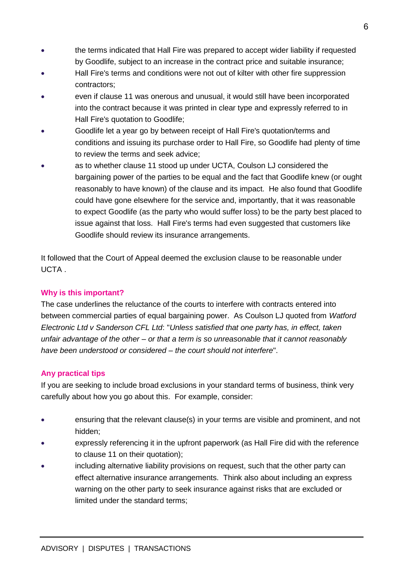- the terms indicated that Hall Fire was prepared to accept wider liability if requested by Goodlife, subject to an increase in the contract price and suitable insurance;
- Hall Fire's terms and conditions were not out of kilter with other fire suppression contractors;
- even if clause 11 was onerous and unusual, it would still have been incorporated into the contract because it was printed in clear type and expressly referred to in Hall Fire's quotation to Goodlife;
- Goodlife let a year go by between receipt of Hall Fire's quotation/terms and conditions and issuing its purchase order to Hall Fire, so Goodlife had plenty of time to review the terms and seek advice;
- as to whether clause 11 stood up under UCTA, Coulson LJ considered the bargaining power of the parties to be equal and the fact that Goodlife knew (or ought reasonably to have known) of the clause and its impact. He also found that Goodlife could have gone elsewhere for the service and, importantly, that it was reasonable to expect Goodlife (as the party who would suffer loss) to be the party best placed to issue against that loss. Hall Fire's terms had even suggested that customers like Goodlife should review its insurance arrangements.

It followed that the Court of Appeal deemed the exclusion clause to be reasonable under UCTA .

#### **Why is this important?**

The case underlines the reluctance of the courts to interfere with contracts entered into between commercial parties of equal bargaining power. As Coulson LJ quoted from *Watford Electronic Ltd v Sanderson CFL Ltd*: "*Unless satisfied that one party has, in effect, taken unfair advantage of the other – or that a term is so unreasonable that it cannot reasonably have been understood or considered – the court should not interfere*".

#### **Any practical tips**

If you are seeking to include broad exclusions in your standard terms of business, think very carefully about how you go about this. For example, consider:

- ensuring that the relevant clause(s) in your terms are visible and prominent, and not hidden;
- expressly referencing it in the upfront paperwork (as Hall Fire did with the reference to clause 11 on their quotation);
- including alternative liability provisions on request, such that the other party can effect alternative insurance arrangements. Think also about including an express warning on the other party to seek insurance against risks that are excluded or limited under the standard terms;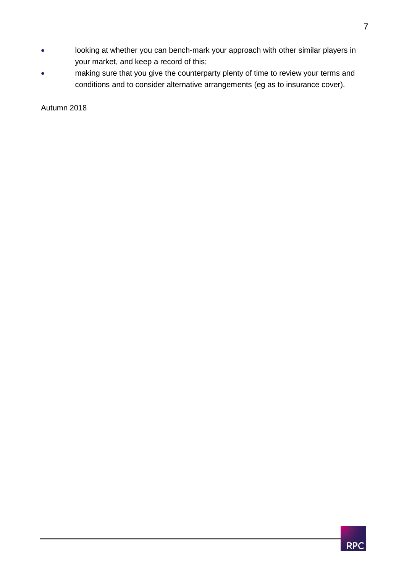- looking at whether you can bench-mark your approach with other similar players in your market, and keep a record of this;
- making sure that you give the counterparty plenty of time to review your terms and conditions and to consider alternative arrangements (eg as to insurance cover).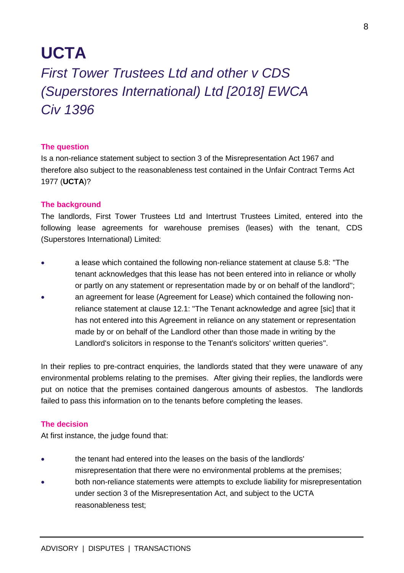## **UCTA**

## <span id="page-8-0"></span>*First Tower Trustees Ltd and other v CDS (Superstores International) Ltd [2018] EWCA Civ 1396*

#### **The question**

Is a non-reliance statement subject to section 3 of the Misrepresentation Act 1967 and therefore also subject to the reasonableness test contained in the Unfair Contract Terms Act 1977 (**UCTA**)?

#### **The background**

The landlords, First Tower Trustees Ltd and Intertrust Trustees Limited, entered into the following lease agreements for warehouse premises (leases) with the tenant, CDS (Superstores International) Limited:

- a lease which contained the following non-reliance statement at clause 5.8: "The tenant acknowledges that this lease has not been entered into in reliance or wholly or partly on any statement or representation made by or on behalf of the landlord";
- an agreement for lease (Agreement for Lease) which contained the following nonreliance statement at clause 12.1: "The Tenant acknowledge and agree [sic] that it has not entered into this Agreement in reliance on any statement or representation made by or on behalf of the Landlord other than those made in writing by the Landlord's solicitors in response to the Tenant's solicitors' written queries".

In their replies to pre-contract enquiries, the landlords stated that they were unaware of any environmental problems relating to the premises. After giving their replies, the landlords were put on notice that the premises contained dangerous amounts of asbestos. The landlords failed to pass this information on to the tenants before completing the leases.

#### **The decision**

At first instance, the judge found that:

- the tenant had entered into the leases on the basis of the landlords' misrepresentation that there were no environmental problems at the premises;
- both non-reliance statements were attempts to exclude liability for misrepresentation under section 3 of the Misrepresentation Act, and subject to the UCTA reasonableness test;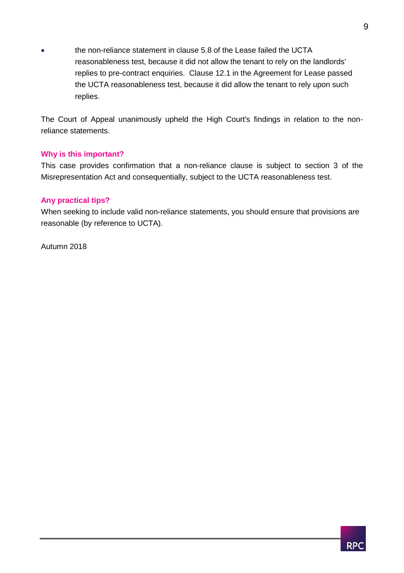the non-reliance statement in clause 5.8 of the Lease failed the UCTA reasonableness test, because it did not allow the tenant to rely on the landlords' replies to pre-contract enquiries. Clause 12.1 in the Agreement for Lease passed the UCTA reasonableness test, because it did allow the tenant to rely upon such replies.

The Court of Appeal unanimously upheld the High Court's findings in relation to the nonreliance statements.

#### **Why is this important?**

This case provides confirmation that a non-reliance clause is subject to section 3 of the Misrepresentation Act and consequentially, subject to the UCTA reasonableness test.

#### **Any practical tips?**

When seeking to include valid non-reliance statements, you should ensure that provisions are reasonable (by reference to UCTA).

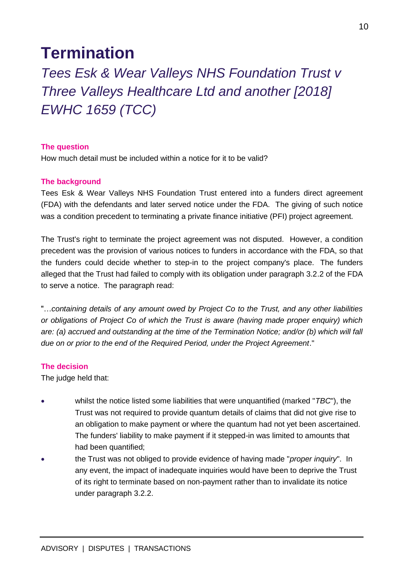## <span id="page-10-0"></span>**Termination**

<span id="page-10-1"></span>*Tees Esk & Wear Valleys NHS Foundation Trust v Three Valleys Healthcare Ltd and another [2018] EWHC 1659 (TCC)*

#### **The question**

How much detail must be included within a notice for it to be valid?

#### **The background**

Tees Esk & Wear Valleys NHS Foundation Trust entered into a funders direct agreement (FDA) with the defendants and later served notice under the FDA. The giving of such notice was a condition precedent to terminating a private finance initiative (PFI) project agreement.

The Trust's right to terminate the project agreement was not disputed. However, a condition precedent was the provision of various notices to funders in accordance with the FDA, so that the funders could decide whether to step-in to the project company's place. The funders alleged that the Trust had failed to comply with its obligation under paragraph 3.2.2 of the FDA to serve a notice. The paragraph read:

"…*containing details of any amount owed by Project Co to the Trust, and any other liabilities or obligations of Project Co of which the Trust is aware (having made proper enquiry) which are: (a) accrued and outstanding at the time of the Termination Notice; and/or (b) which will fall due on or prior to the end of the Required Period, under the Project Agreement*."

#### **The decision**

The judge held that:

- whilst the notice listed some liabilities that were unquantified (marked "*TBC*"), the Trust was not required to provide quantum details of claims that did not give rise to an obligation to make payment or where the quantum had not yet been ascertained. The funders' liability to make payment if it stepped-in was limited to amounts that had been quantified;
- the Trust was not obliged to provide evidence of having made "*proper inquiry*". In any event, the impact of inadequate inquiries would have been to deprive the Trust of its right to terminate based on non-payment rather than to invalidate its notice under paragraph 3.2.2.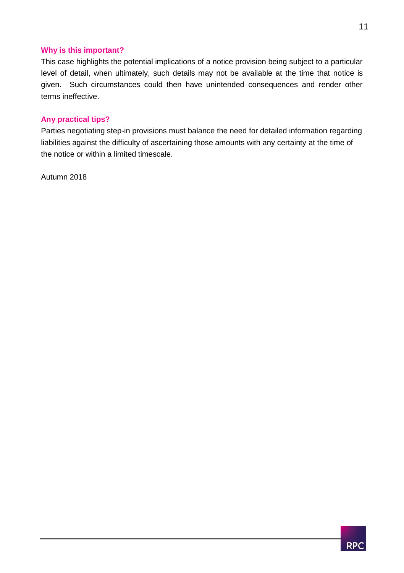#### **Why is this important?**

This case highlights the potential implications of a notice provision being subject to a particular level of detail, when ultimately, such details may not be available at the time that notice is given. Such circumstances could then have unintended consequences and render other terms ineffective.

#### **Any practical tips?**

Parties negotiating step-in provisions must balance the need for detailed information regarding liabilities against the difficulty of ascertaining those amounts with any certainty at the time of the notice or within a limited timescale.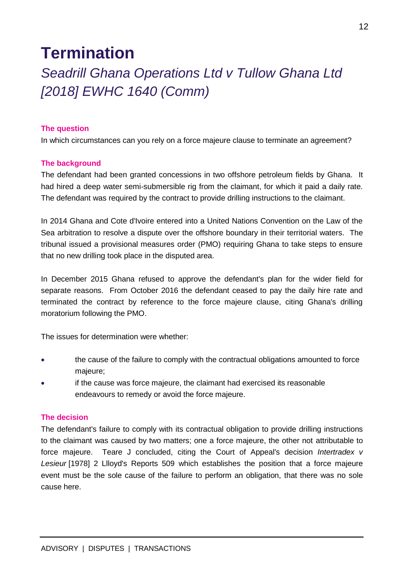## **Termination**

## <span id="page-12-0"></span>*Seadrill Ghana Operations Ltd v Tullow Ghana Ltd [2018] EWHC 1640 (Comm)*

#### **The question**

In which circumstances can you rely on a force majeure clause to terminate an agreement?

#### **The background**

The defendant had been granted concessions in two offshore petroleum fields by Ghana. It had hired a deep water semi-submersible rig from the claimant, for which it paid a daily rate. The defendant was required by the contract to provide drilling instructions to the claimant.

In 2014 Ghana and Cote d'Ivoire entered into a United Nations Convention on the Law of the Sea arbitration to resolve a dispute over the offshore boundary in their territorial waters. The tribunal issued a provisional measures order (PMO) requiring Ghana to take steps to ensure that no new drilling took place in the disputed area.

In December 2015 Ghana refused to approve the defendant's plan for the wider field for separate reasons. From October 2016 the defendant ceased to pay the daily hire rate and terminated the contract by reference to the force majeure clause, citing Ghana's drilling moratorium following the PMO.

The issues for determination were whether:

- the cause of the failure to comply with the contractual obligations amounted to force majeure;
- if the cause was force majeure, the claimant had exercised its reasonable endeavours to remedy or avoid the force majeure.

#### **The decision**

The defendant's failure to comply with its contractual obligation to provide drilling instructions to the claimant was caused by two matters; one a force majeure, the other not attributable to force majeure. Teare J concluded, citing the Court of Appeal's decision *Intertradex v Lesieur* [1978] 2 Llloyd's Reports 509 which establishes the position that a force majeure event must be the sole cause of the failure to perform an obligation, that there was no sole cause here.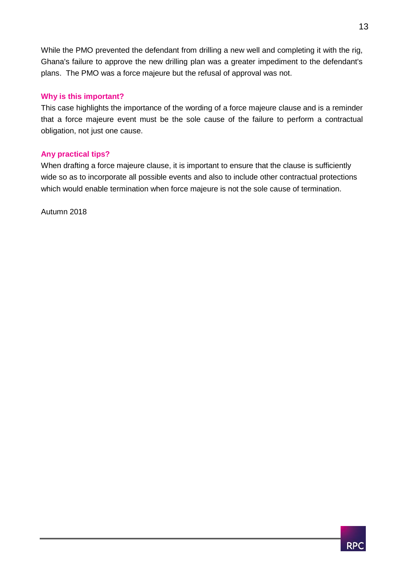While the PMO prevented the defendant from drilling a new well and completing it with the rig, Ghana's failure to approve the new drilling plan was a greater impediment to the defendant's plans. The PMO was a force majeure but the refusal of approval was not.

#### **Why is this important?**

This case highlights the importance of the wording of a force majeure clause and is a reminder that a force majeure event must be the sole cause of the failure to perform a contractual obligation, not just one cause.

#### **Any practical tips?**

When drafting a force majeure clause, it is important to ensure that the clause is sufficiently wide so as to incorporate all possible events and also to include other contractual protections which would enable termination when force majeure is not the sole cause of termination.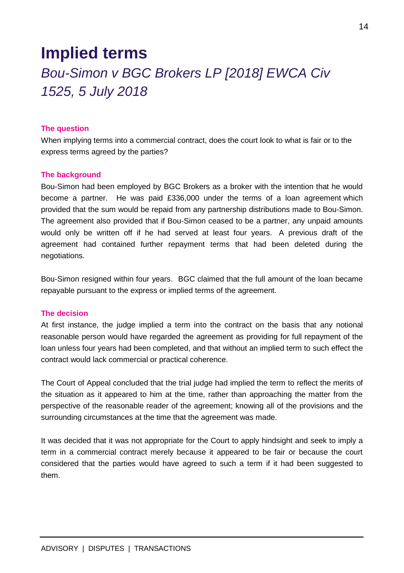## <span id="page-14-1"></span><span id="page-14-0"></span>**Implied terms** *Bou-Simon v BGC Brokers LP [2018] EWCA Civ 1525, 5 July 2018*

#### **The question**

When implying terms into a commercial contract, does the court look to what is fair or to the express terms agreed by the parties?

#### **The background**

Bou-Simon had been employed by BGC Brokers as a broker with the intention that he would become a partner. He was paid £336,000 under the terms of a loan agreement which provided that the sum would be repaid from any partnership distributions made to Bou-Simon. The agreement also provided that if Bou-Simon ceased to be a partner, any unpaid amounts would only be written off if he had served at least four years. A previous draft of the agreement had contained further repayment terms that had been deleted during the negotiations.

Bou-Simon resigned within four years. BGC claimed that the full amount of the loan became repayable pursuant to the express or implied terms of the agreement.

#### **The decision**

At first instance, the judge implied a term into the contract on the basis that any notional reasonable person would have regarded the agreement as providing for full repayment of the loan unless four years had been completed, and that without an implied term to such effect the contract would lack commercial or practical coherence.

The Court of Appeal concluded that the trial judge had implied the term to reflect the merits of the situation as it appeared to him at the time, rather than approaching the matter from the perspective of the reasonable reader of the agreement; knowing all of the provisions and the surrounding circumstances at the time that the agreement was made.

It was decided that it was not appropriate for the Court to apply hindsight and seek to imply a term in a commercial contract merely because it appeared to be fair or because the court considered that the parties would have agreed to such a term if it had been suggested to them.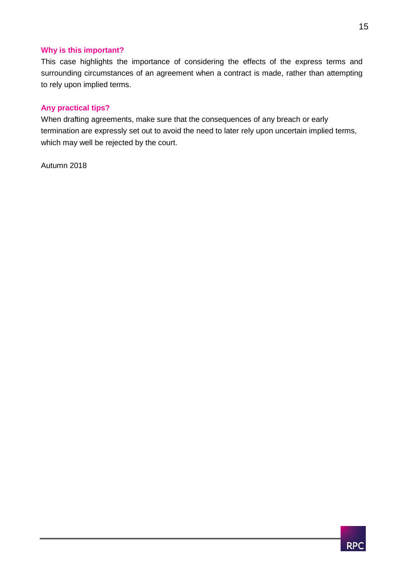#### **Why is this important?**

This case highlights the importance of considering the effects of the express terms and surrounding circumstances of an agreement when a contract is made, rather than attempting to rely upon implied terms.

#### **Any practical tips?**

When drafting agreements, make sure that the consequences of any breach or early termination are expressly set out to avoid the need to later rely upon uncertain implied terms, which may well be rejected by the court.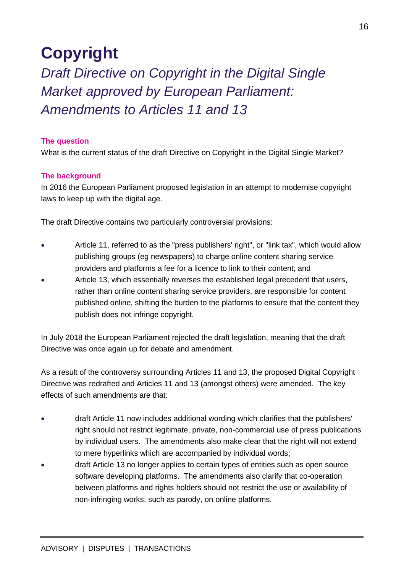## <span id="page-16-0"></span>**Copyright**

<span id="page-16-1"></span>*Draft Directive on Copyright in the Digital Single Market approved by European Parliament: Amendments to Articles 11 and 13*

#### **The question**

What is the current status of the draft Directive on Copyright in the Digital Single Market?

#### **The background**

In 2016 the European Parliament proposed legislation in an attempt to modernise copyright laws to keep up with the digital age.

The draft Directive contains two particularly controversial provisions:

- Article 11, referred to as the "press publishers' right", or "link tax", which would allow publishing groups (eg newspapers) to charge online content sharing service providers and platforms a fee for a licence to link to their content; and
- Article 13, which essentially reverses the established legal precedent that users, rather than online content sharing service providers, are responsible for content published online, shifting the burden to the platforms to ensure that the content they publish does not infringe copyright.

In July 2018 the European Parliament rejected the draft legislation, meaning that the draft Directive was once again up for debate and amendment.

As a result of the controversy surrounding Articles 11 and 13, the proposed Digital Copyright Directive was redrafted and Articles 11 and 13 (amongst others) were amended. The key effects of such amendments are that:

- draft Article 11 now includes additional wording which clarifies that the publishers' right should not restrict legitimate, private, non-commercial use of press publications by individual users. The amendments also make clear that the right will not extend to mere hyperlinks which are accompanied by individual words;
- draft Article 13 no longer applies to certain types of entities such as open source software developing platforms. The amendments also clarify that co-operation between platforms and rights holders should not restrict the use or availability of non-infringing works, such as parody, on online platforms.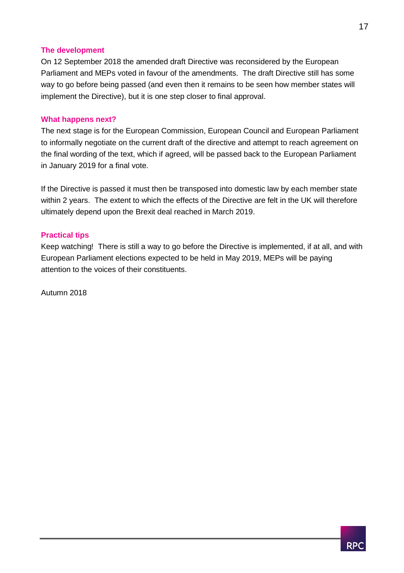#### **The development**

On 12 September 2018 the amended draft Directive was reconsidered by the European Parliament and MEPs voted in favour of the amendments. The draft Directive still has some way to go before being passed (and even then it remains to be seen how member states will implement the Directive), but it is one step closer to final approval.

#### **What happens next?**

The next stage is for the European Commission, European Council and European Parliament to informally negotiate on the current draft of the directive and attempt to reach agreement on the final wording of the text, which if agreed, will be passed back to the European Parliament in January 2019 for a final vote.

If the Directive is passed it must then be transposed into domestic law by each member state within 2 years. The extent to which the effects of the Directive are felt in the UK will therefore ultimately depend upon the Brexit deal reached in March 2019.

#### **Practical tips**

Keep watching! There is still a way to go before the Directive is implemented, if at all, and with European Parliament elections expected to be held in May 2019, MEPs will be paying attention to the voices of their constituents.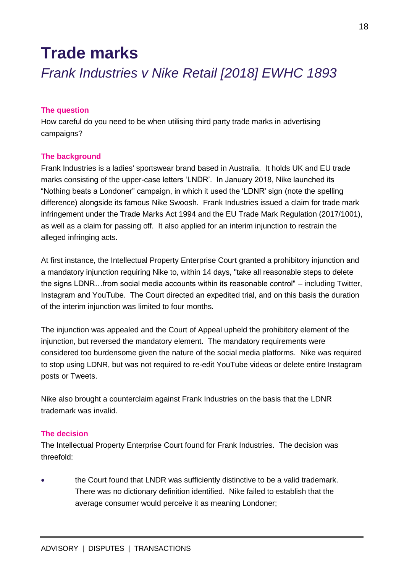## <span id="page-18-0"></span>**Trade marks**

<span id="page-18-1"></span>*Frank Industries v Nike Retail [2018] EWHC 1893*

#### **The question**

How careful do you need to be when utilising third party trade marks in advertising campaigns?

#### **The background**

Frank Industries is a ladies' sportswear brand based in Australia. It holds UK and EU trade marks consisting of the upper-case letters 'LNDR'. In January 2018, Nike launched its "Nothing beats a Londoner" campaign, in which it used the 'LDNR' sign (note the spelling difference) alongside its famous Nike Swoosh. Frank Industries issued a claim for trade mark infringement under the Trade Marks Act 1994 and the EU Trade Mark Regulation (2017/1001), as well as a claim for passing off. It also applied for an interim injunction to restrain the alleged infringing acts.

At first instance, the Intellectual Property Enterprise Court granted a prohibitory injunction and a mandatory injunction requiring Nike to, within 14 days, "take all reasonable steps to delete the signs LDNR…from social media accounts within its reasonable control" – including Twitter, Instagram and YouTube. The Court directed an expedited trial, and on this basis the duration of the interim injunction was limited to four months.

The injunction was appealed and the Court of Appeal upheld the prohibitory element of the injunction, but reversed the mandatory element. The mandatory requirements were considered too burdensome given the nature of the social media platforms. Nike was required to stop using LDNR, but was not required to re-edit YouTube videos or delete entire Instagram posts or Tweets.

Nike also brought a counterclaim against Frank Industries on the basis that the LDNR trademark was invalid.

#### **The decision**

The Intellectual Property Enterprise Court found for Frank Industries. The decision was threefold:

 the Court found that LNDR was sufficiently distinctive to be a valid trademark. There was no dictionary definition identified. Nike failed to establish that the average consumer would perceive it as meaning Londoner;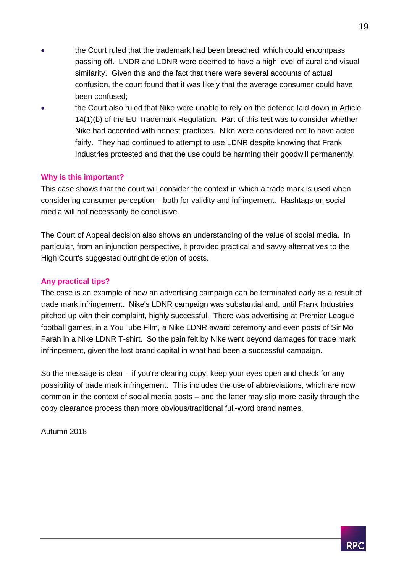- the Court ruled that the trademark had been breached, which could encompass passing off. LNDR and LDNR were deemed to have a high level of aural and visual similarity. Given this and the fact that there were several accounts of actual confusion, the court found that it was likely that the average consumer could have been confused;
- the Court also ruled that Nike were unable to rely on the defence laid down in Article 14(1)(b) of the EU Trademark Regulation. Part of this test was to consider whether Nike had accorded with honest practices. Nike were considered not to have acted fairly. They had continued to attempt to use LDNR despite knowing that Frank Industries protested and that the use could be harming their goodwill permanently.

#### **Why is this important?**

This case shows that the court will consider the context in which a trade mark is used when considering consumer perception – both for validity and infringement. Hashtags on social media will not necessarily be conclusive.

The Court of Appeal decision also shows an understanding of the value of social media. In particular, from an injunction perspective, it provided practical and savvy alternatives to the High Court's suggested outright deletion of posts.

#### **Any practical tips?**

The case is an example of how an advertising campaign can be terminated early as a result of trade mark infringement. Nike's LDNR campaign was substantial and, until Frank Industries pitched up with their complaint, highly successful. There was advertising at Premier League football games, in a YouTube Film, a Nike LDNR award ceremony and even posts of Sir Mo Farah in a Nike LDNR T-shirt. So the pain felt by Nike went beyond damages for trade mark infringement, given the lost brand capital in what had been a successful campaign.

So the message is clear – if you're clearing copy, keep your eyes open and check for any possibility of trade mark infringement. This includes the use of abbreviations, which are now common in the context of social media posts – and the latter may slip more easily through the copy clearance process than more obvious/traditional full-word brand names.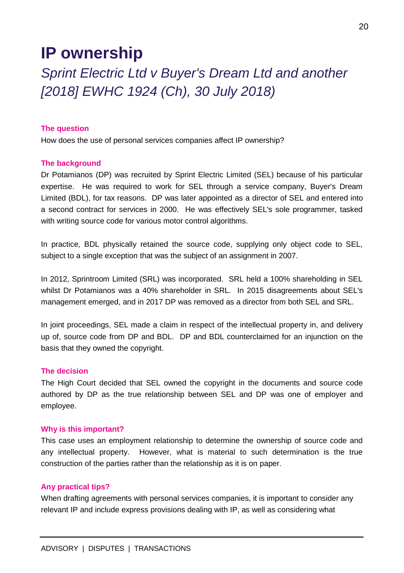## <span id="page-20-0"></span>**IP ownership**

<span id="page-20-1"></span>*Sprint Electric Ltd v Buyer's Dream Ltd and another [2018] EWHC 1924 (Ch), 30 July 2018)*

#### **The question**

How does the use of personal services companies affect IP ownership?

#### **The background**

Dr Potamianos (DP) was recruited by Sprint Electric Limited (SEL) because of his particular expertise. He was required to work for SEL through a service company, Buyer's Dream Limited (BDL), for tax reasons. DP was later appointed as a director of SEL and entered into a second contract for services in 2000. He was effectively SEL's sole programmer, tasked with writing source code for various motor control algorithms.

In practice, BDL physically retained the source code, supplying only object code to SEL, subject to a single exception that was the subject of an assignment in 2007.

In 2012, Sprintroom Limited (SRL) was incorporated. SRL held a 100% shareholding in SEL whilst Dr Potamianos was a 40% shareholder in SRL. In 2015 disagreements about SEL's management emerged, and in 2017 DP was removed as a director from both SEL and SRL.

In joint proceedings, SEL made a claim in respect of the intellectual property in, and delivery up of, source code from DP and BDL. DP and BDL counterclaimed for an injunction on the basis that they owned the copyright.

#### **The decision**

The High Court decided that SEL owned the copyright in the documents and source code authored by DP as the true relationship between SEL and DP was one of employer and employee.

#### **Why is this important?**

This case uses an employment relationship to determine the ownership of source code and any intellectual property. However, what is material to such determination is the true construction of the parties rather than the relationship as it is on paper.

#### **Any practical tips?**

When drafting agreements with personal services companies, it is important to consider any relevant IP and include express provisions dealing with IP, as well as considering what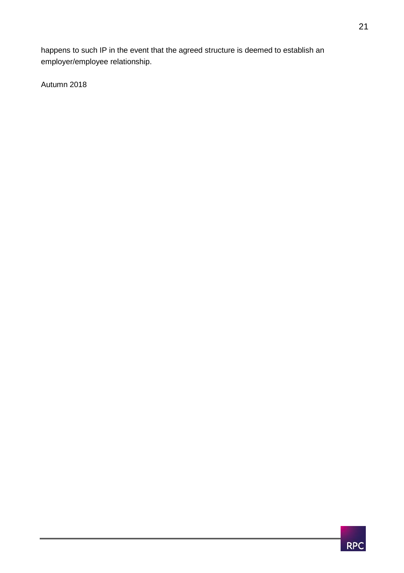happens to such IP in the event that the agreed structure is deemed to establish an employer/employee relationship.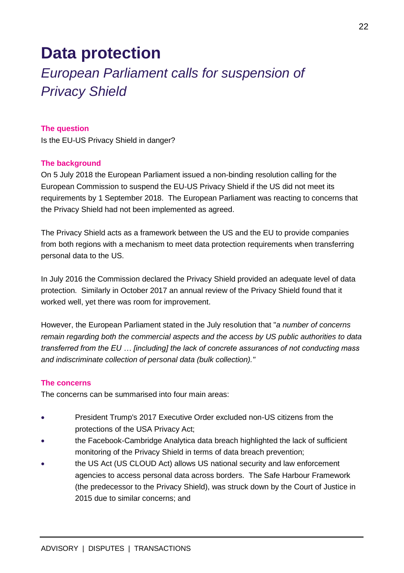## <span id="page-22-0"></span>**Data protection**

## <span id="page-22-1"></span>*European Parliament calls for suspension of Privacy Shield*

#### **The question**

Is the EU-US Privacy Shield in danger?

#### **The background**

On 5 July 2018 the European Parliament issued a non-binding resolution calling for the European Commission to suspend the EU-US Privacy Shield if the US did not meet its requirements by 1 September 2018. The European Parliament was reacting to concerns that the Privacy Shield had not been implemented as agreed.

The Privacy Shield acts as a framework between the US and the EU to provide companies from both regions with a mechanism to meet data protection requirements when transferring personal data to the US.

In July 2016 the Commission declared the Privacy Shield provided an adequate level of data protection. Similarly in October 2017 an annual review of the Privacy Shield found that it worked well, yet there was room for improvement.

However, the European Parliament stated in the July resolution that "*a number of concerns remain regarding both the commercial aspects and the access by US public authorities to data transferred from the EU … [including] the lack of concrete assurances of not conducting mass and indiscriminate collection of personal data (bulk collection)."*

#### **The concerns**

The concerns can be summarised into four main areas:

- President Trump's 2017 Executive Order excluded non-US citizens from the protections of the USA Privacy Act;
- the Facebook-Cambridge Analytica data breach highlighted the lack of sufficient monitoring of the Privacy Shield in terms of data breach prevention;
- the US Act (US CLOUD Act) allows US national security and law enforcement agencies to access personal data across borders. The Safe Harbour Framework (the predecessor to the Privacy Shield), was struck down by the Court of Justice in 2015 due to similar concerns; and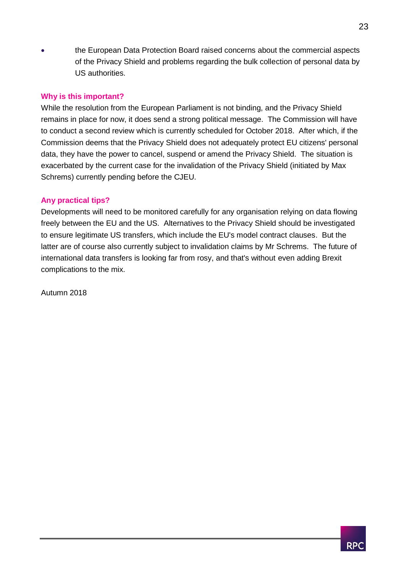the European Data Protection Board raised concerns about the commercial aspects of the Privacy Shield and problems regarding the bulk collection of personal data by US authorities.

#### **Why is this important?**

While the resolution from the European Parliament is not binding, and the Privacy Shield remains in place for now, it does send a strong political message. The Commission will have to conduct a second review which is currently scheduled for October 2018. After which, if the Commission deems that the Privacy Shield does not adequately protect EU citizens' personal data, they have the power to cancel, suspend or amend the Privacy Shield. The situation is exacerbated by the current case for the invalidation of the Privacy Shield (initiated by Max Schrems) currently pending before the CJEU.

#### **Any practical tips?**

Developments will need to be monitored carefully for any organisation relying on data flowing freely between the EU and the US. Alternatives to the Privacy Shield should be investigated to ensure legitimate US transfers, which include the EU's model contract clauses. But the latter are of course also currently subject to invalidation claims by Mr Schrems. The future of international data transfers is looking far from rosy, and that's without even adding Brexit complications to the mix.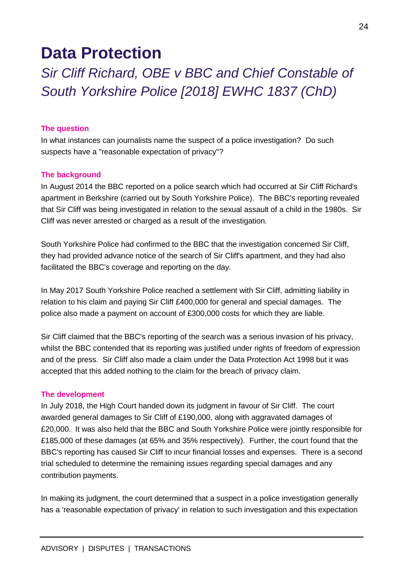## **Data Protection**

<span id="page-24-0"></span>*Sir Cliff Richard, OBE v BBC and Chief Constable of South Yorkshire Police [2018] EWHC 1837 (ChD)*

#### **The question**

In what instances can journalists name the suspect of a police investigation? Do such suspects have a "reasonable expectation of privacy"?

#### **The background**

In August 2014 the BBC reported on a police search which had occurred at Sir Cliff Richard's apartment in Berkshire (carried out by South Yorkshire Police). The BBC's reporting revealed that Sir Cliff was being investigated in relation to the sexual assault of a child in the 1980s. Sir Cliff was never arrested or charged as a result of the investigation.

South Yorkshire Police had confirmed to the BBC that the investigation concerned Sir Cliff, they had provided advance notice of the search of Sir Cliff's apartment, and they had also facilitated the BBC's coverage and reporting on the day.

In May 2017 South Yorkshire Police reached a settlement with Sir Cliff, admitting liability in relation to his claim and paying Sir Cliff £400,000 for general and special damages. The police also made a payment on account of £300,000 costs for which they are liable.

Sir Cliff claimed that the BBC's reporting of the search was a serious invasion of his privacy, whilst the BBC contended that its reporting was justified under rights of freedom of expression and of the press. Sir Cliff also made a claim under the Data Protection Act 1998 but it was accepted that this added nothing to the claim for the breach of privacy claim.

#### **The development**

In July 2018, the High Court handed down its judgment in favour of Sir Cliff. The court awarded general damages to Sir Cliff of £190,000, along with aggravated damages of £20,000. It was also held that the BBC and South Yorkshire Police were jointly responsible for £185,000 of these damages (at 65% and 35% respectively). Further, the court found that the BBC's reporting has caused Sir Cliff to incur financial losses and expenses. There is a second trial scheduled to determine the remaining issues regarding special damages and any contribution payments.

In making its judgment, the court determined that a suspect in a police investigation generally has a 'reasonable expectation of privacy' in relation to such investigation and this expectation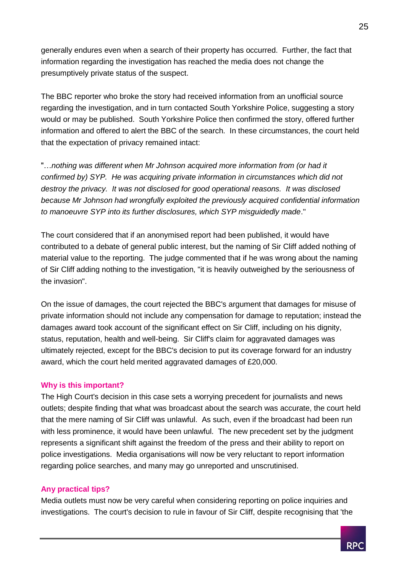generally endures even when a search of their property has occurred. Further, the fact that information regarding the investigation has reached the media does not change the presumptively private status of the suspect.

The BBC reporter who broke the story had received information from an unofficial source regarding the investigation, and in turn contacted South Yorkshire Police, suggesting a story would or may be published. South Yorkshire Police then confirmed the story, offered further information and offered to alert the BBC of the search. In these circumstances, the court held that the expectation of privacy remained intact:

"…*nothing was different when Mr Johnson acquired more information from (or had it confirmed by) SYP. He was acquiring private information in circumstances which did not destroy the privacy. It was not disclosed for good operational reasons. It was disclosed because Mr Johnson had wrongfully exploited the previously acquired confidential information to manoeuvre SYP into its further disclosures, which SYP misguidedly made*."

The court considered that if an anonymised report had been published, it would have contributed to a debate of general public interest, but the naming of Sir Cliff added nothing of material value to the reporting. The judge commented that if he was wrong about the naming of Sir Cliff adding nothing to the investigation, "it is heavily outweighed by the seriousness of the invasion".

On the issue of damages, the court rejected the BBC's argument that damages for misuse of private information should not include any compensation for damage to reputation; instead the damages award took account of the significant effect on Sir Cliff, including on his dignity, status, reputation, health and well-being. Sir Cliff's claim for aggravated damages was ultimately rejected, except for the BBC's decision to put its coverage forward for an industry award, which the court held merited aggravated damages of £20,000.

#### **Why is this important?**

The High Court's decision in this case sets a worrying precedent for journalists and news outlets; despite finding that what was broadcast about the search was accurate, the court held that the mere naming of Sir Cliff was unlawful. As such, even if the broadcast had been run with less prominence, it would have been unlawful. The new precedent set by the judgment represents a significant shift against the freedom of the press and their ability to report on police investigations. Media organisations will now be very reluctant to report information regarding police searches, and many may go unreported and unscrutinised.

#### **Any practical tips?**

Media outlets must now be very careful when considering reporting on police inquiries and investigations. The court's decision to rule in favour of Sir Cliff, despite recognising that 'the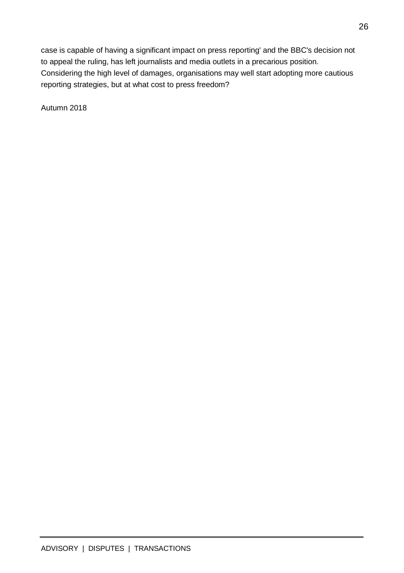case is capable of having a significant impact on press reporting' and the BBC's decision not to appeal the ruling, has left journalists and media outlets in a precarious position. Considering the high level of damages, organisations may well start adopting more cautious reporting strategies, but at what cost to press freedom?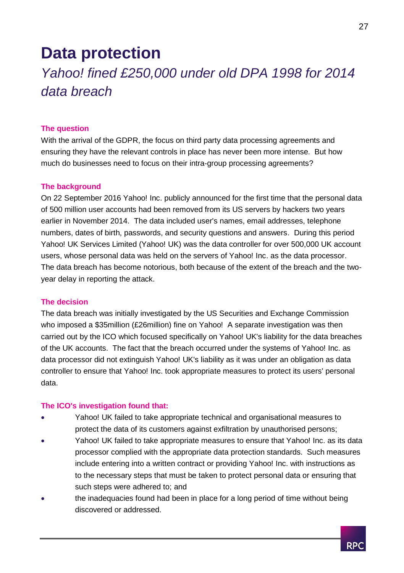## **Data protection**

## <span id="page-27-0"></span>*Yahoo! fined £250,000 under old DPA 1998 for 2014 data breach*

#### **The question**

With the arrival of the GDPR, the focus on third party data processing agreements and ensuring they have the relevant controls in place has never been more intense. But how much do businesses need to focus on their intra-group processing agreements?

#### **The background**

On 22 September 2016 Yahoo! Inc. publicly announced for the first time that the personal data of 500 million user accounts had been removed from its US servers by hackers two years earlier in November 2014. The data included user's names, email addresses, telephone numbers, dates of birth, passwords, and security questions and answers. During this period Yahoo! UK Services Limited (Yahoo! UK) was the data controller for over 500,000 UK account users, whose personal data was held on the servers of Yahoo! Inc. as the data processor. The data breach has become notorious, both because of the extent of the breach and the twoyear delay in reporting the attack.

#### **The decision**

The data breach was initially investigated by the US Securities and Exchange Commission who imposed a \$35million (£26million) fine on Yahoo! A separate investigation was then carried out by the ICO which focused specifically on Yahoo! UK's liability for the data breaches of the UK accounts. The fact that the breach occurred under the systems of Yahoo! Inc. as data processor did not extinguish Yahoo! UK's liability as it was under an obligation as data controller to ensure that Yahoo! Inc. took appropriate measures to protect its users' personal data.

#### **The ICO's investigation found that:**

- Yahoo! UK failed to take appropriate technical and organisational measures to protect the data of its customers against exfiltration by unauthorised persons;
- Yahoo! UK failed to take appropriate measures to ensure that Yahoo! Inc. as its data processor complied with the appropriate data protection standards. Such measures include entering into a written contract or providing Yahoo! Inc. with instructions as to the necessary steps that must be taken to protect personal data or ensuring that such steps were adhered to; and
- the inadequacies found had been in place for a long period of time without being discovered or addressed.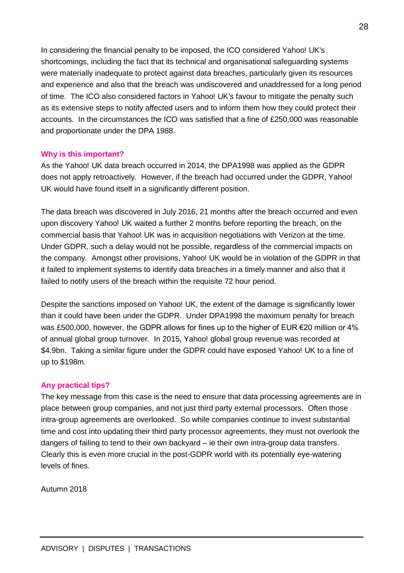In considering the financial penalty to be imposed, the ICO considered Yahoo! UK's shortcomings, including the fact that its technical and organisational safeguarding systems were materially inadequate to protect against data breaches, particularly given its resources and experience and also that the breach was undiscovered and unaddressed for a long period of time. The ICO also considered factors in Yahoo! UK's favour to mitigate the penalty such as its extensive steps to notify affected users and to inform them how they could protect their accounts. In the circumstances the ICO was satisfied that a fine of £250,000 was reasonable and proportionate under the DPA 1988.

#### **Why is this important?**

As the Yahoo! UK data breach occurred in 2014, the DPA1998 was applied as the GDPR does not apply retroactively. However, if the breach had occurred under the GDPR, Yahoo! UK would have found itself in a significantly different position.

The data breach was discovered in July 2016, 21 months after the breach occurred and even upon discovery Yahoo! UK waited a further 2 months before reporting the breach, on the commercial basis that Yahoo! UK was in acquisition negotiations with Verizon at the time. Under GDPR, such a delay would not be possible, regardless of the commercial impacts on the company. Amongst other provisions, Yahoo! UK would be in violation of the GDPR in that it failed to implement systems to identify data breaches in a timely manner and also that it failed to notify users of the breach within the requisite 72 hour period.

Despite the sanctions imposed on Yahoo! UK, the extent of the damage is significantly lower than it could have been under the GDPR. Under DPA1998 the maximum penalty for breach was £500,000, however, the GDPR allows for fines up to the higher of EUR €20 million or 4% of annual global group turnover. In 2015, Yahoo! global group revenue was recorded at \$4.9bn. Taking a similar figure under the GDPR could have exposed Yahoo! UK to a fine of up to \$198m.

#### **Any practical tips?**

The key message from this case is the need to ensure that data processing agreements are in place between group companies, and not just third party external processors. Often those intra-group agreements are overlooked. So while companies continue to invest substantial time and cost into updating their third party processor agreements, they must not overlook the dangers of failing to tend to their own backyard – ie their own intra-group data transfers. Clearly this is even more crucial in the post-GDPR world with its potentially eye-watering levels of fines.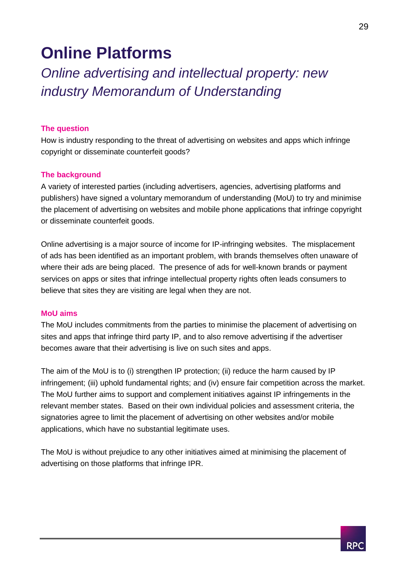## <span id="page-29-0"></span>**Online Platforms**

<span id="page-29-1"></span>*Online advertising and intellectual property: new industry Memorandum of Understanding*

#### **The question**

How is industry responding to the threat of advertising on websites and apps which infringe copyright or disseminate counterfeit goods?

#### **The background**

A variety of interested parties (including advertisers, agencies, advertising platforms and publishers) have signed a voluntary memorandum of understanding (MoU) to try and minimise the placement of advertising on websites and mobile phone applications that infringe copyright or disseminate counterfeit goods.

Online advertising is a major source of income for IP-infringing websites. The misplacement of ads has been identified as an important problem, with brands themselves often unaware of where their ads are being placed. The presence of ads for well-known brands or payment services on apps or sites that infringe intellectual property rights often leads consumers to believe that sites they are visiting are legal when they are not.

#### **MoU aims**

The MoU includes commitments from the parties to minimise the placement of advertising on sites and apps that infringe third party IP, and to also remove advertising if the advertiser becomes aware that their advertising is live on such sites and apps.

The aim of the MoU is to (i) strengthen IP protection; (ii) reduce the harm caused by IP infringement; (iii) uphold fundamental rights; and (iv) ensure fair competition across the market. The MoU further aims to support and complement initiatives against IP infringements in the relevant member states. Based on their own individual policies and assessment criteria, the signatories agree to limit the placement of advertising on other websites and/or mobile applications, which have no substantial legitimate uses.

The MoU is without prejudice to any other initiatives aimed at minimising the placement of advertising on those platforms that infringe IPR.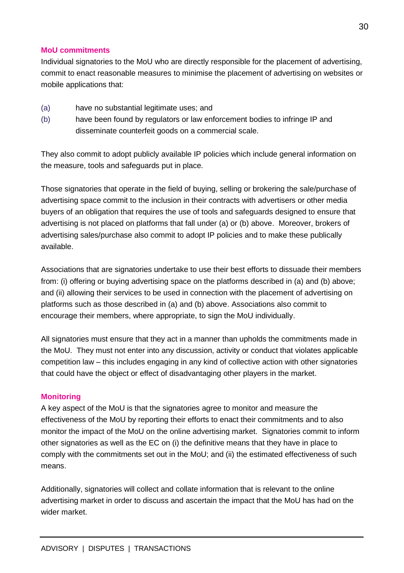#### **MoU commitments**

Individual signatories to the MoU who are directly responsible for the placement of advertising, commit to enact reasonable measures to minimise the placement of advertising on websites or mobile applications that:

- (a) have no substantial legitimate uses; and
- (b) have been found by regulators or law enforcement bodies to infringe IP and disseminate counterfeit goods on a commercial scale.

They also commit to adopt publicly available IP policies which include general information on the measure, tools and safeguards put in place.

Those signatories that operate in the field of buying, selling or brokering the sale/purchase of advertising space commit to the inclusion in their contracts with advertisers or other media buyers of an obligation that requires the use of tools and safeguards designed to ensure that advertising is not placed on platforms that fall under (a) or (b) above. Moreover, brokers of advertising sales/purchase also commit to adopt IP policies and to make these publically available.

Associations that are signatories undertake to use their best efforts to dissuade their members from: (i) offering or buying advertising space on the platforms described in (a) and (b) above; and (ii) allowing their services to be used in connection with the placement of advertising on platforms such as those described in (a) and (b) above. Associations also commit to encourage their members, where appropriate, to sign the MoU individually.

All signatories must ensure that they act in a manner than upholds the commitments made in the MoU. They must not enter into any discussion, activity or conduct that violates applicable competition law – this includes engaging in any kind of collective action with other signatories that could have the object or effect of disadvantaging other players in the market.

#### **Monitoring**

A key aspect of the MoU is that the signatories agree to monitor and measure the effectiveness of the MoU by reporting their efforts to enact their commitments and to also monitor the impact of the MoU on the online advertising market. Signatories commit to inform other signatories as well as the EC on (i) the definitive means that they have in place to comply with the commitments set out in the MoU; and (ii) the estimated effectiveness of such means.

Additionally, signatories will collect and collate information that is relevant to the online advertising market in order to discuss and ascertain the impact that the MoU has had on the wider market.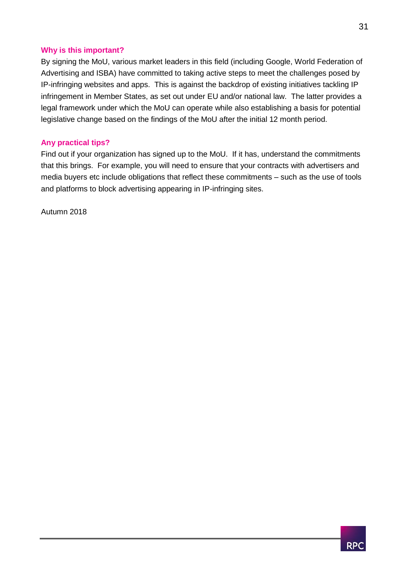#### **Why is this important?**

By signing the MoU, various market leaders in this field (including Google, World Federation of Advertising and ISBA) have committed to taking active steps to meet the challenges posed by IP-infringing websites and apps. This is against the backdrop of existing initiatives tackling IP infringement in Member States, as set out under EU and/or national law. The latter provides a legal framework under which the MoU can operate while also establishing a basis for potential legislative change based on the findings of the MoU after the initial 12 month period.

#### **Any practical tips?**

Find out if your organization has signed up to the MoU. If it has, understand the commitments that this brings. For example, you will need to ensure that your contracts with advertisers and media buyers etc include obligations that reflect these commitments – such as the use of tools and platforms to block advertising appearing in IP-infringing sites.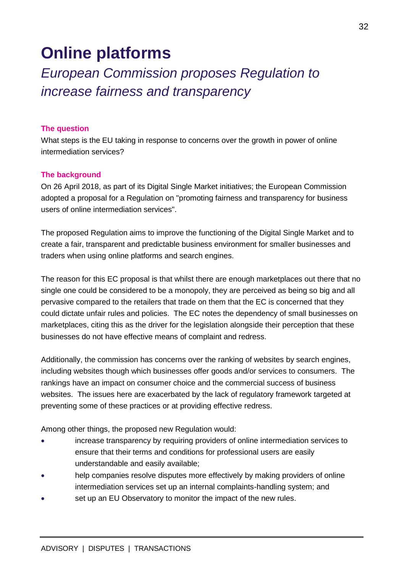## **Online platforms**

## <span id="page-32-0"></span>*European Commission proposes Regulation to increase fairness and transparency*

#### **The question**

What steps is the EU taking in response to concerns over the growth in power of online intermediation services?

#### **The background**

On 26 April 2018, as part of its Digital Single Market initiatives; the European Commission adopted a proposal for a Regulation on "promoting fairness and transparency for business users of online intermediation services".

The proposed Regulation aims to improve the functioning of the Digital Single Market and to create a fair, transparent and predictable business environment for smaller businesses and traders when using online platforms and search engines.

The reason for this EC proposal is that whilst there are enough marketplaces out there that no single one could be considered to be a monopoly, they are perceived as being so big and all pervasive compared to the retailers that trade on them that the EC is concerned that they could dictate unfair rules and policies. The EC notes the dependency of small businesses on marketplaces, citing this as the driver for the legislation alongside their perception that these businesses do not have effective means of complaint and redress.

Additionally, the commission has concerns over the ranking of websites by search engines, including websites though which businesses offer goods and/or services to consumers. The rankings have an impact on consumer choice and the commercial success of business websites. The issues here are exacerbated by the lack of regulatory framework targeted at preventing some of these practices or at providing effective redress.

Among other things, the proposed new Regulation would:

- increase transparency by requiring providers of online intermediation services to ensure that their terms and conditions for professional users are easily understandable and easily available;
- help companies resolve disputes more effectively by making providers of online intermediation services set up an internal complaints-handling system; and
- set up an EU Observatory to monitor the impact of the new rules.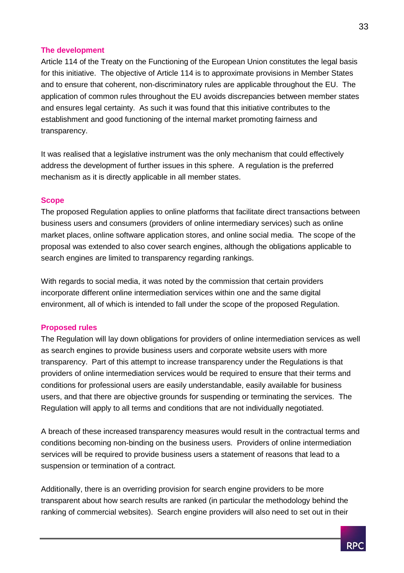#### **The development**

Article 114 of the Treaty on the Functioning of the European Union constitutes the legal basis for this initiative. The objective of Article 114 is to approximate provisions in Member States and to ensure that coherent, non-discriminatory rules are applicable throughout the EU. The application of common rules throughout the EU avoids discrepancies between member states and ensures legal certainty. As such it was found that this initiative contributes to the establishment and good functioning of the internal market promoting fairness and transparency.

It was realised that a legislative instrument was the only mechanism that could effectively address the development of further issues in this sphere. A regulation is the preferred mechanism as it is directly applicable in all member states.

#### **Scope**

The proposed Regulation applies to online platforms that facilitate direct transactions between business users and consumers (providers of online intermediary services) such as online market places, online software application stores, and online social media. The scope of the proposal was extended to also cover search engines, although the obligations applicable to search engines are limited to transparency regarding rankings.

With regards to social media, it was noted by the commission that certain providers incorporate different online intermediation services within one and the same digital environment, all of which is intended to fall under the scope of the proposed Regulation.

#### **Proposed rules**

The Regulation will lay down obligations for providers of online intermediation services as well as search engines to provide business users and corporate website users with more transparency. Part of this attempt to increase transparency under the Regulations is that providers of online intermediation services would be required to ensure that their terms and conditions for professional users are easily understandable, easily available for business users, and that there are objective grounds for suspending or terminating the services. The Regulation will apply to all terms and conditions that are not individually negotiated.

A breach of these increased transparency measures would result in the contractual terms and conditions becoming non-binding on the business users. Providers of online intermediation services will be required to provide business users a statement of reasons that lead to a suspension or termination of a contract.

Additionally, there is an overriding provision for search engine providers to be more transparent about how search results are ranked (in particular the methodology behind the ranking of commercial websites). Search engine providers will also need to set out in their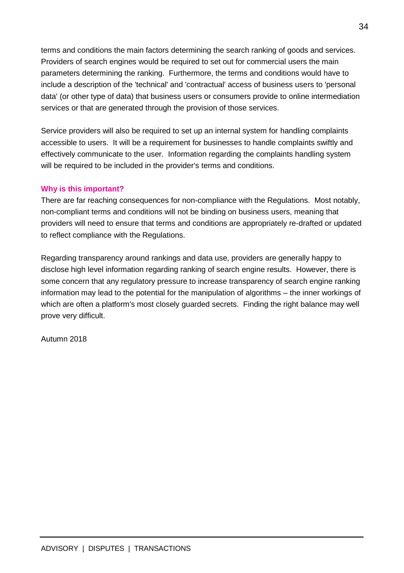terms and conditions the main factors determining the search ranking of goods and services. Providers of search engines would be required to set out for commercial users the main parameters determining the ranking. Furthermore, the terms and conditions would have to include a description of the 'technical' and 'contractual' access of business users to 'personal data' (or other type of data) that business users or consumers provide to online intermediation services or that are generated through the provision of those services.

Service providers will also be required to set up an internal system for handling complaints accessible to users. It will be a requirement for businesses to handle complaints swiftly and effectively communicate to the user. Information regarding the complaints handling system will be required to be included in the provider's terms and conditions.

#### **Why is this important?**

There are far reaching consequences for non-compliance with the Regulations. Most notably, non-compliant terms and conditions will not be binding on business users, meaning that providers will need to ensure that terms and conditions are appropriately re-drafted or updated to reflect compliance with the Regulations.

Regarding transparency around rankings and data use, providers are generally happy to disclose high level information regarding ranking of search engine results. However, there is some concern that any regulatory pressure to increase transparency of search engine ranking information may lead to the potential for the manipulation of algorithms – the inner workings of which are often a platform's most closely guarded secrets. Finding the right balance may well prove very difficult.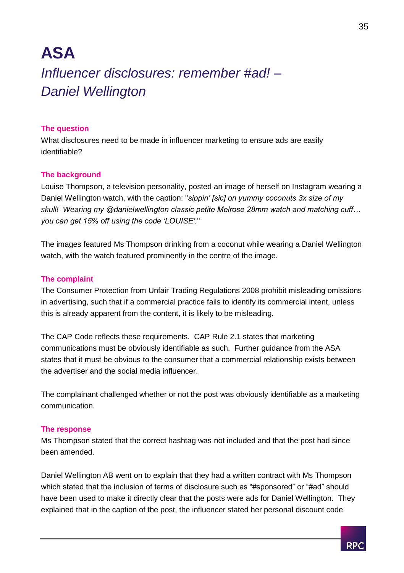## <span id="page-35-1"></span><span id="page-35-0"></span>**ASA**  *Influencer disclosures: remember #ad! – Daniel Wellington*

#### **The question**

What disclosures need to be made in influencer marketing to ensure ads are easily identifiable?

#### **The background**

Louise Thompson, a television personality, posted an image of herself on Instagram wearing a Daniel Wellington watch, with the caption: "*sippin' [sic] on yummy coconuts 3x size of my skull! Wearing my @danielwellington classic petite Melrose 28mm watch and matching cuff… you can get 15% off using the code 'LOUISE'.*"

The images featured Ms Thompson drinking from a coconut while wearing a Daniel Wellington watch, with the watch featured prominently in the centre of the image.

#### **The complaint**

The Consumer Protection from Unfair Trading Regulations 2008 prohibit misleading omissions in advertising, such that if a commercial practice fails to identify its commercial intent, unless this is already apparent from the content, it is likely to be misleading.

The CAP Code reflects these requirements. CAP Rule 2.1 states that marketing communications must be obviously identifiable as such. Further guidance from the ASA states that it must be obvious to the consumer that a commercial relationship exists between the advertiser and the social media influencer.

The complainant challenged whether or not the post was obviously identifiable as a marketing communication.

#### **The response**

Ms Thompson stated that the correct hashtag was not included and that the post had since been amended.

Daniel Wellington AB went on to explain that they had a written contract with Ms Thompson which stated that the inclusion of terms of disclosure such as "#sponsored" or "#ad" should have been used to make it directly clear that the posts were ads for Daniel Wellington. They explained that in the caption of the post, the influencer stated her personal discount code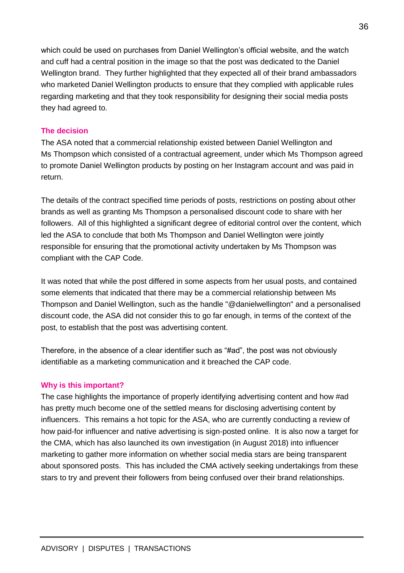which could be used on purchases from Daniel Wellington's official website, and the watch and cuff had a central position in the image so that the post was dedicated to the Daniel Wellington brand. They further highlighted that they expected all of their brand ambassadors who marketed Daniel Wellington products to ensure that they complied with applicable rules regarding marketing and that they took responsibility for designing their social media posts they had agreed to.

#### **The decision**

The ASA noted that a commercial relationship existed between Daniel Wellington and Ms Thompson which consisted of a contractual agreement, under which Ms Thompson agreed to promote Daniel Wellington products by posting on her Instagram account and was paid in return.

The details of the contract specified time periods of posts, restrictions on posting about other brands as well as granting Ms Thompson a personalised discount code to share with her followers. All of this highlighted a significant degree of editorial control over the content, which led the ASA to conclude that both Ms Thompson and Daniel Wellington were jointly responsible for ensuring that the promotional activity undertaken by Ms Thompson was compliant with the CAP Code.

It was noted that while the post differed in some aspects from her usual posts, and contained some elements that indicated that there may be a commercial relationship between Ms Thompson and Daniel Wellington, such as the handle "@danielwellington" and a personalised discount code, the ASA did not consider this to go far enough, in terms of the context of the post, to establish that the post was advertising content.

Therefore, in the absence of a clear identifier such as "#ad", the post was not obviously identifiable as a marketing communication and it breached the CAP code.

#### **Why is this important?**

The case highlights the importance of properly identifying advertising content and how #ad has pretty much become one of the settled means for disclosing advertising content by influencers. This remains a hot topic for the ASA, who are currently conducting a review of how paid-for influencer and native advertising is sign-posted online. It is also now a target for the CMA, which has also launched its own investigation (in August 2018) into influencer marketing to gather more information on whether social media stars are being transparent about sponsored posts. This has included the CMA actively seeking undertakings from these stars to try and prevent their followers from being confused over their brand relationships.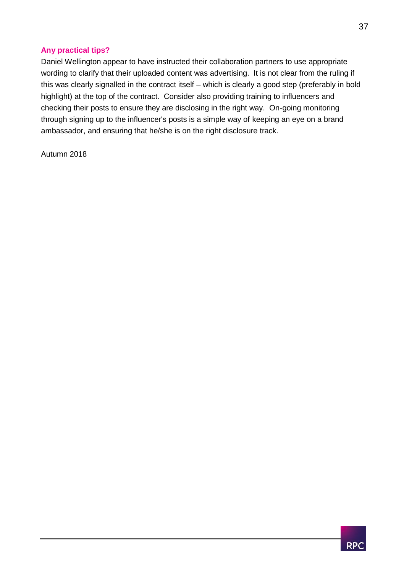#### **Any practical tips?**

Daniel Wellington appear to have instructed their collaboration partners to use appropriate wording to clarify that their uploaded content was advertising. It is not clear from the ruling if this was clearly signalled in the contract itself – which is clearly a good step (preferably in bold highlight) at the top of the contract. Consider also providing training to influencers and checking their posts to ensure they are disclosing in the right way. On-going monitoring through signing up to the influencer's posts is a simple way of keeping an eye on a brand ambassador, and ensuring that he/she is on the right disclosure track.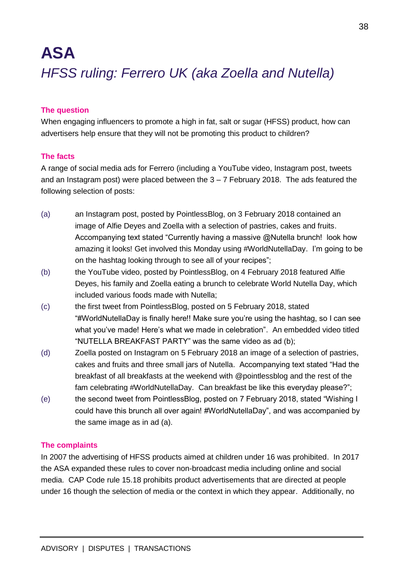## <span id="page-38-0"></span>**ASA** *HFSS ruling: Ferrero UK (aka Zoella and Nutella)*

#### **The question**

When engaging influencers to promote a high in fat, salt or sugar (HFSS) product, how can advertisers help ensure that they will not be promoting this product to children?

#### **The facts**

A range of social media ads for Ferrero (including a YouTube video, Instagram post, tweets and an Instagram post) were placed between the 3 – 7 February 2018. The ads featured the following selection of posts:

- (a) an Instagram post, posted by PointlessBlog, on 3 February 2018 contained an image of Alfie Deyes and Zoella with a selection of pastries, cakes and fruits. Accompanying text stated "Currently having a massive @Nutella brunch! look how amazing it looks! Get involved this Monday using #WorldNutellaDay. I'm going to be on the hashtag looking through to see all of your recipes";
- (b) the YouTube video, posted by PointlessBlog, on 4 February 2018 featured Alfie Deyes, his family and Zoella eating a brunch to celebrate World Nutella Day, which included various foods made with Nutella;
- (c) the first tweet from PointlessBlog, posted on 5 February 2018, stated "#WorldNutellaDay is finally here!! Make sure you're using the hashtag, so I can see what you've made! Here's what we made in celebration". An embedded video titled "NUTELLA BREAKFAST PARTY" was the same video as ad (b);
- (d) Zoella posted on Instagram on 5 February 2018 an image of a selection of pastries, cakes and fruits and three small jars of Nutella. Accompanying text stated "Had the breakfast of all breakfasts at the weekend with @pointlessblog and the rest of the fam celebrating #WorldNutellaDay. Can breakfast be like this everyday please?";
- (e) the second tweet from PointlessBlog, posted on 7 February 2018, stated "Wishing I could have this brunch all over again! #WorldNutellaDay", and was accompanied by the same image as in ad (a).

#### **The complaints**

In 2007 the advertising of HFSS products aimed at children under 16 was prohibited. In 2017 the ASA expanded these rules to cover non-broadcast media including online and social media. CAP Code rule 15.18 prohibits product advertisements that are directed at people under 16 though the selection of media or the context in which they appear. Additionally, no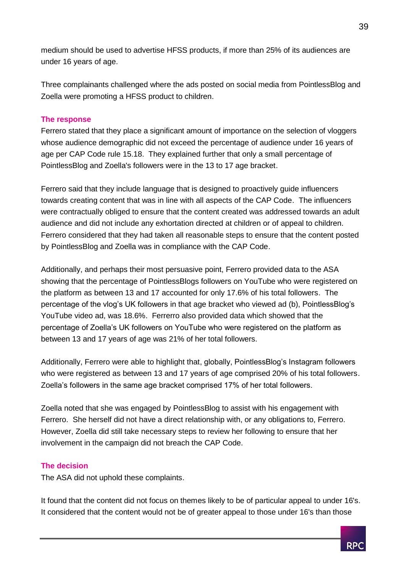medium should be used to advertise HFSS products, if more than 25% of its audiences are under 16 years of age.

Three complainants challenged where the ads posted on social media from PointlessBlog and Zoella were promoting a HFSS product to children.

#### **The response**

Ferrero stated that they place a significant amount of importance on the selection of vloggers whose audience demographic did not exceed the percentage of audience under 16 years of age per CAP Code rule 15.18. They explained further that only a small percentage of PointlessBlog and Zoella's followers were in the 13 to 17 age bracket.

Ferrero said that they include language that is designed to proactively guide influencers towards creating content that was in line with all aspects of the CAP Code. The influencers were contractually obliged to ensure that the content created was addressed towards an adult audience and did not include any exhortation directed at children or of appeal to children. Ferrero considered that they had taken all reasonable steps to ensure that the content posted by PointlessBlog and Zoella was in compliance with the CAP Code.

Additionally, and perhaps their most persuasive point, Ferrero provided data to the ASA showing that the percentage of PointlessBlogs followers on YouTube who were registered on the platform as between 13 and 17 accounted for only 17.6% of his total followers. The percentage of the vlog's UK followers in that age bracket who viewed ad (b), PointlessBlog's YouTube video ad, was 18.6%. Ferrerro also provided data which showed that the percentage of Zoella's UK followers on YouTube who were registered on the platform as between 13 and 17 years of age was 21% of her total followers.

Additionally, Ferrero were able to highlight that, globally, PointlessBlog's Instagram followers who were registered as between 13 and 17 years of age comprised 20% of his total followers. Zoella's followers in the same age bracket comprised 17% of her total followers.

Zoella noted that she was engaged by PointlessBlog to assist with his engagement with Ferrero. She herself did not have a direct relationship with, or any obligations to, Ferrero. However, Zoella did still take necessary steps to review her following to ensure that her involvement in the campaign did not breach the CAP Code.

#### **The decision**

The ASA did not uphold these complaints.

It found that the content did not focus on themes likely to be of particular appeal to under 16's. It considered that the content would not be of greater appeal to those under 16's than those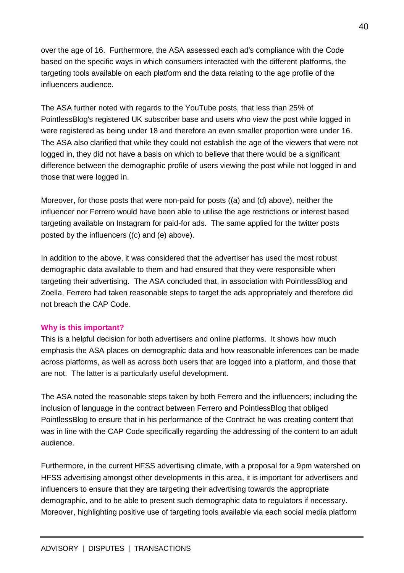over the age of 16. Furthermore, the ASA assessed each ad's compliance with the Code based on the specific ways in which consumers interacted with the different platforms, the targeting tools available on each platform and the data relating to the age profile of the influencers audience.

The ASA further noted with regards to the YouTube posts, that less than 25% of PointlessBlog's registered UK subscriber base and users who view the post while logged in were registered as being under 18 and therefore an even smaller proportion were under 16. The ASA also clarified that while they could not establish the age of the viewers that were not logged in, they did not have a basis on which to believe that there would be a significant difference between the demographic profile of users viewing the post while not logged in and those that were logged in.

Moreover, for those posts that were non-paid for posts ((a) and (d) above), neither the influencer nor Ferrero would have been able to utilise the age restrictions or interest based targeting available on Instagram for paid-for ads. The same applied for the twitter posts posted by the influencers ((c) and (e) above).

In addition to the above, it was considered that the advertiser has used the most robust demographic data available to them and had ensured that they were responsible when targeting their advertising. The ASA concluded that, in association with PointlessBlog and Zoella, Ferrero had taken reasonable steps to target the ads appropriately and therefore did not breach the CAP Code.

#### **Why is this important?**

This is a helpful decision for both advertisers and online platforms. It shows how much emphasis the ASA places on demographic data and how reasonable inferences can be made across platforms, as well as across both users that are logged into a platform, and those that are not. The latter is a particularly useful development.

The ASA noted the reasonable steps taken by both Ferrero and the influencers; including the inclusion of language in the contract between Ferrero and PointlessBlog that obliged PointlessBlog to ensure that in his performance of the Contract he was creating content that was in line with the CAP Code specifically regarding the addressing of the content to an adult audience.

Furthermore, in the current HFSS advertising climate, with a proposal for a 9pm watershed on HFSS advertising amongst other developments in this area, it is important for advertisers and influencers to ensure that they are targeting their advertising towards the appropriate demographic, and to be able to present such demographic data to regulators if necessary. Moreover, highlighting positive use of targeting tools available via each social media platform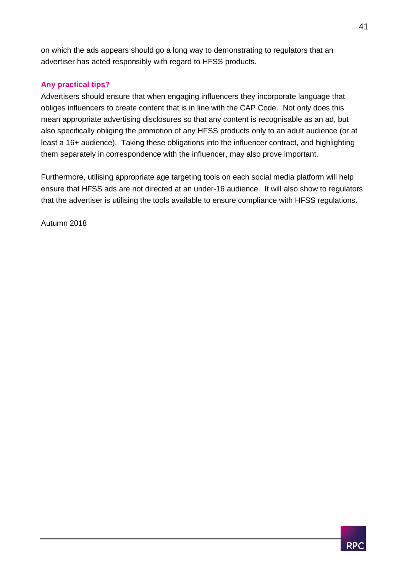on which the ads appears should go a long way to demonstrating to regulators that an advertiser has acted responsibly with regard to HFSS products.

#### **Any practical tips?**

Advertisers should ensure that when engaging influencers they incorporate language that obliges influencers to create content that is in line with the CAP Code. Not only does this mean appropriate advertising disclosures so that any content is recognisable as an ad, but also specifically obliging the promotion of any HFSS products only to an adult audience (or at least a 16+ audience). Taking these obligations into the influencer contract, and highlighting them separately in correspondence with the influencer, may also prove important.

Furthermore, utilising appropriate age targeting tools on each social media platform will help ensure that HFSS ads are not directed at an under-16 audience. It will also show to regulators that the advertiser is utilising the tools available to ensure compliance with HFSS regulations.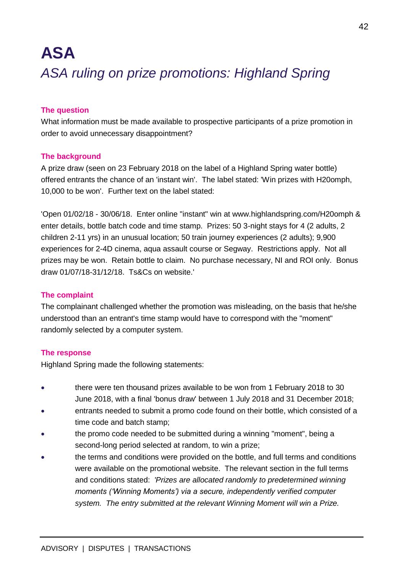## <span id="page-42-0"></span>**ASA**  *ASA ruling on prize promotions: Highland Spring*

#### **The question**

What information must be made available to prospective participants of a prize promotion in order to avoid unnecessary disappointment?

#### **The background**

A prize draw (seen on 23 February 2018 on the label of a Highland Spring water bottle) offered entrants the chance of an 'instant win'. The label stated: 'Win prizes with H20omph, 10,000 to be won'. Further text on the label stated:

'Open 01/02/18 - 30/06/18. Enter online "instant" win at www.highlandspring.com/H20omph & enter details, bottle batch code and time stamp. Prizes: 50 3-night stays for 4 (2 adults, 2 children 2-11 yrs) in an unusual location; 50 train journey experiences (2 adults); 9,900 experiences for 2-4D cinema, aqua assault course or Segway. Restrictions apply. Not all prizes may be won. Retain bottle to claim. No purchase necessary, NI and ROI only. Bonus draw 01/07/18-31/12/18. Ts&Cs on website.'

#### **The complaint**

The complainant challenged whether the promotion was misleading, on the basis that he/she understood than an entrant's time stamp would have to correspond with the "moment" randomly selected by a computer system.

#### **The response**

Highland Spring made the following statements:

- there were ten thousand prizes available to be won from 1 February 2018 to 30 June 2018, with a final 'bonus draw' between 1 July 2018 and 31 December 2018;
- entrants needed to submit a promo code found on their bottle, which consisted of a time code and batch stamp;
- the promo code needed to be submitted during a winning "moment", being a second-long period selected at random, to win a prize;
- the terms and conditions were provided on the bottle, and full terms and conditions were available on the promotional website. The relevant section in the full terms and conditions stated: *'Prizes are allocated randomly to predetermined winning moments ('Winning Moments') via a secure, independently verified computer system. The entry submitted at the relevant Winning Moment will win a Prize.*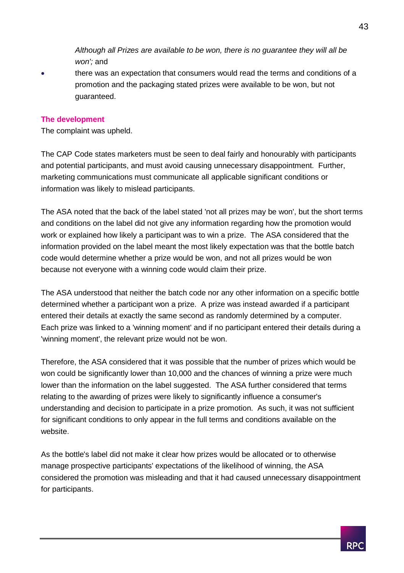*Although all Prizes are available to be won, there is no guarantee they will all be won';* and

 there was an expectation that consumers would read the terms and conditions of a promotion and the packaging stated prizes were available to be won, but not guaranteed.

#### **The development**

The complaint was upheld.

The CAP Code states marketers must be seen to deal fairly and honourably with participants and potential participants, and must avoid causing unnecessary disappointment. Further, marketing communications must communicate all applicable significant conditions or information was likely to mislead participants.

The ASA noted that the back of the label stated 'not all prizes may be won', but the short terms and conditions on the label did not give any information regarding how the promotion would work or explained how likely a participant was to win a prize. The ASA considered that the information provided on the label meant the most likely expectation was that the bottle batch code would determine whether a prize would be won, and not all prizes would be won because not everyone with a winning code would claim their prize.

The ASA understood that neither the batch code nor any other information on a specific bottle determined whether a participant won a prize. A prize was instead awarded if a participant entered their details at exactly the same second as randomly determined by a computer. Each prize was linked to a 'winning moment' and if no participant entered their details during a 'winning moment', the relevant prize would not be won.

Therefore, the ASA considered that it was possible that the number of prizes which would be won could be significantly lower than 10,000 and the chances of winning a prize were much lower than the information on the label suggested. The ASA further considered that terms relating to the awarding of prizes were likely to significantly influence a consumer's understanding and decision to participate in a prize promotion. As such, it was not sufficient for significant conditions to only appear in the full terms and conditions available on the website.

As the bottle's label did not make it clear how prizes would be allocated or to otherwise manage prospective participants' expectations of the likelihood of winning, the ASA considered the promotion was misleading and that it had caused unnecessary disappointment for participants.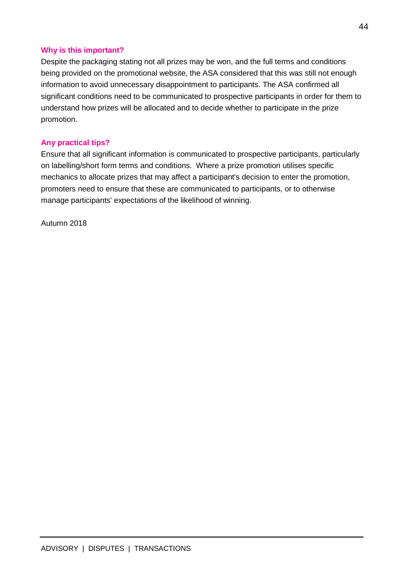#### **Why is this important?**

Despite the packaging stating not all prizes may be won, and the full terms and conditions being provided on the promotional website, the ASA considered that this was still not enough information to avoid unnecessary disappointment to participants. The ASA confirmed all significant conditions need to be communicated to prospective participants in order for them to understand how prizes will be allocated and to decide whether to participate in the prize promotion.

#### **Any practical tips?**

Ensure that all significant information is communicated to prospective participants, particularly on labelling/short form terms and conditions. Where a prize promotion utilises specific mechanics to allocate prizes that may affect a participant's decision to enter the promotion, promoters need to ensure that these are communicated to participants, or to otherwise manage participants' expectations of the likelihood of winning.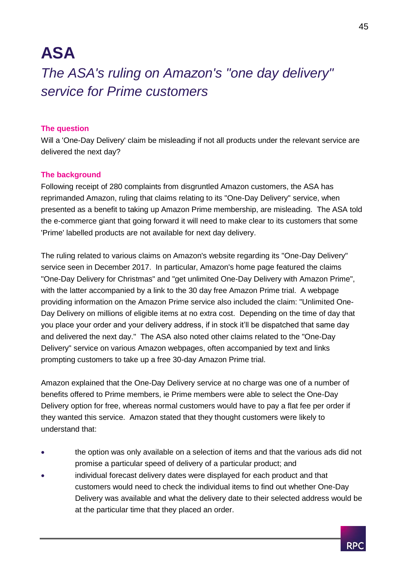## **ASA**

## <span id="page-45-0"></span>*The ASA's ruling on Amazon's "one day delivery" service for Prime customers*

#### **The question**

Will a 'One-Day Delivery' claim be misleading if not all products under the relevant service are delivered the next day?

#### **The background**

Following receipt of 280 complaints from disgruntled Amazon customers, the ASA has reprimanded Amazon, ruling that claims relating to its "One-Day Delivery" service, when presented as a benefit to taking up Amazon Prime membership, are misleading. The ASA told the e-commerce giant that going forward it will need to make clear to its customers that some 'Prime' labelled products are not available for next day delivery.

The ruling related to various claims on Amazon's website regarding its "One-Day Delivery" service seen in December 2017. In particular, Amazon's home page featured the claims "One-Day Delivery for Christmas" and "get unlimited One-Day Delivery with Amazon Prime", with the latter accompanied by a link to the 30 day free Amazon Prime trial. A webpage providing information on the Amazon Prime service also included the claim: "Unlimited One-Day Delivery on millions of eligible items at no extra cost. Depending on the time of day that you place your order and your delivery address, if in stock it'll be dispatched that same day and delivered the next day." The ASA also noted other claims related to the "One-Day Delivery" service on various Amazon webpages, often accompanied by text and links prompting customers to take up a free 30-day Amazon Prime trial.

Amazon explained that the One-Day Delivery service at no charge was one of a number of benefits offered to Prime members, ie Prime members were able to select the One-Day Delivery option for free, whereas normal customers would have to pay a flat fee per order if they wanted this service. Amazon stated that they thought customers were likely to understand that:

- the option was only available on a selection of items and that the various ads did not promise a particular speed of delivery of a particular product; and
- individual forecast delivery dates were displayed for each product and that customers would need to check the individual items to find out whether One-Day Delivery was available and what the delivery date to their selected address would be at the particular time that they placed an order.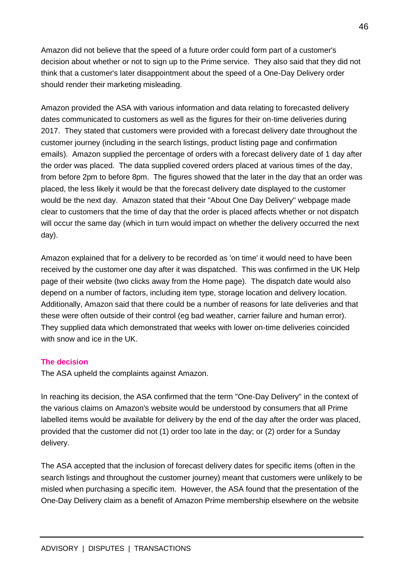Amazon did not believe that the speed of a future order could form part of a customer's decision about whether or not to sign up to the Prime service. They also said that they did not think that a customer's later disappointment about the speed of a One-Day Delivery order should render their marketing misleading.

Amazon provided the ASA with various information and data relating to forecasted delivery dates communicated to customers as well as the figures for their on-time deliveries during 2017. They stated that customers were provided with a forecast delivery date throughout the customer journey (including in the search listings, product listing page and confirmation emails). Amazon supplied the percentage of orders with a forecast delivery date of 1 day after the order was placed. The data supplied covered orders placed at various times of the day, from before 2pm to before 8pm. The figures showed that the later in the day that an order was placed, the less likely it would be that the forecast delivery date displayed to the customer would be the next day. Amazon stated that their "About One Day Delivery" webpage made clear to customers that the time of day that the order is placed affects whether or not dispatch will occur the same day (which in turn would impact on whether the delivery occurred the next day).

Amazon explained that for a delivery to be recorded as 'on time' it would need to have been received by the customer one day after it was dispatched. This was confirmed in the UK Help page of their website (two clicks away from the Home page). The dispatch date would also depend on a number of factors, including item type, storage location and delivery location. Additionally, Amazon said that there could be a number of reasons for late deliveries and that these were often outside of their control (eg bad weather, carrier failure and human error). They supplied data which demonstrated that weeks with lower on-time deliveries coincided with snow and ice in the LIK

#### **The decision**

The ASA upheld the complaints against Amazon.

In reaching its decision, the ASA confirmed that the term "One-Day Delivery" in the context of the various claims on Amazon's website would be understood by consumers that all Prime labelled items would be available for delivery by the end of the day after the order was placed, provided that the customer did not (1) order too late in the day; or (2) order for a Sunday delivery.

The ASA accepted that the inclusion of forecast delivery dates for specific items (often in the search listings and throughout the customer journey) meant that customers were unlikely to be misled when purchasing a specific item. However, the ASA found that the presentation of the One-Day Delivery claim as a benefit of Amazon Prime membership elsewhere on the website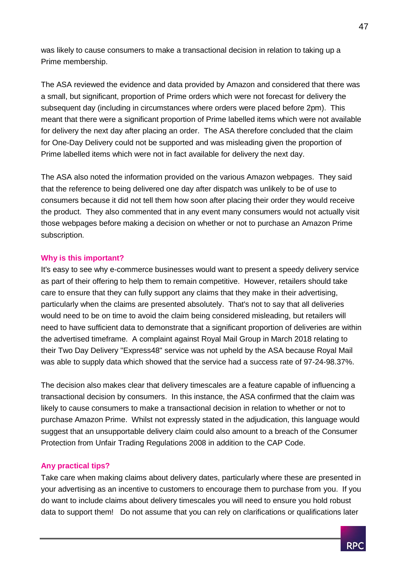was likely to cause consumers to make a transactional decision in relation to taking up a Prime membership.

The ASA reviewed the evidence and data provided by Amazon and considered that there was a small, but significant, proportion of Prime orders which were not forecast for delivery the subsequent day (including in circumstances where orders were placed before 2pm). This meant that there were a significant proportion of Prime labelled items which were not available for delivery the next day after placing an order. The ASA therefore concluded that the claim for One-Day Delivery could not be supported and was misleading given the proportion of Prime labelled items which were not in fact available for delivery the next day.

The ASA also noted the information provided on the various Amazon webpages. They said that the reference to being delivered one day after dispatch was unlikely to be of use to consumers because it did not tell them how soon after placing their order they would receive the product. They also commented that in any event many consumers would not actually visit those webpages before making a decision on whether or not to purchase an Amazon Prime subscription.

#### **Why is this important?**

It's easy to see why e-commerce businesses would want to present a speedy delivery service as part of their offering to help them to remain competitive. However, retailers should take care to ensure that they can fully support any claims that they make in their advertising, particularly when the claims are presented absolutely. That's not to say that all deliveries would need to be on time to avoid the claim being considered misleading, but retailers will need to have sufficient data to demonstrate that a significant proportion of deliveries are within the advertised timeframe. A complaint against Royal Mail Group in March 2018 relating to their Two Day Delivery "Express48" service was not upheld by the ASA because Royal Mail was able to supply data which showed that the service had a success rate of 97-24-98.37%.

The decision also makes clear that delivery timescales are a feature capable of influencing a transactional decision by consumers. In this instance, the ASA confirmed that the claim was likely to cause consumers to make a transactional decision in relation to whether or not to purchase Amazon Prime. Whilst not expressly stated in the adjudication, this language would suggest that an unsupportable delivery claim could also amount to a breach of the Consumer Protection from Unfair Trading Regulations 2008 in addition to the CAP Code.

#### **Any practical tips?**

Take care when making claims about delivery dates, particularly where these are presented in your advertising as an incentive to customers to encourage them to purchase from you. If you do want to include claims about delivery timescales you will need to ensure you hold robust data to support them! Do not assume that you can rely on clarifications or qualifications later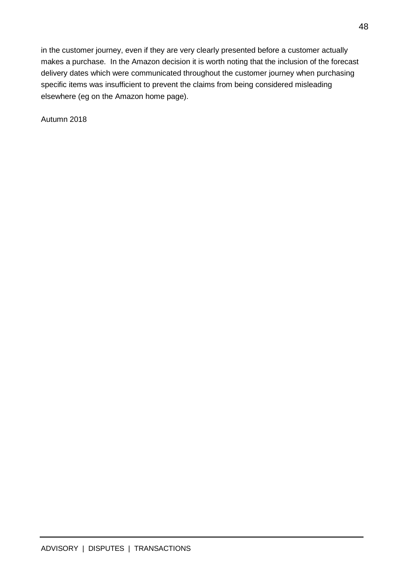in the customer journey, even if they are very clearly presented before a customer actually makes a purchase. In the Amazon decision it is worth noting that the inclusion of the forecast delivery dates which were communicated throughout the customer journey when purchasing specific items was insufficient to prevent the claims from being considered misleading elsewhere (eg on the Amazon home page).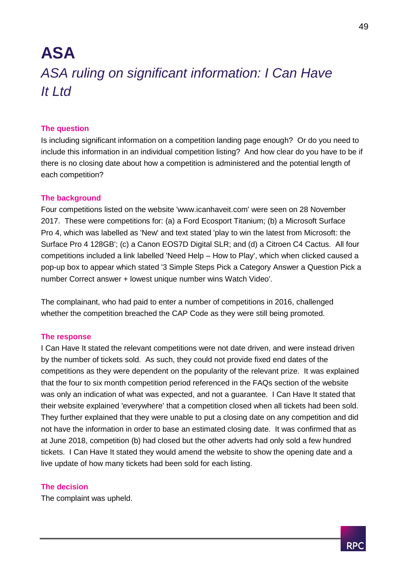## <span id="page-49-0"></span>**ASA**  *ASA ruling on significant information: I Can Have It Ltd*

#### **The question**

Is including significant information on a competition landing page enough? Or do you need to include this information in an individual competition listing? And how clear do you have to be if there is no closing date about how a competition is administered and the potential length of each competition?

#### **The background**

Four competitions listed on the website 'www.icanhaveit.com' were seen on 28 November 2017. These were competitions for: (a) a Ford Ecosport Titanium; (b) a Microsoft Surface Pro 4, which was labelled as 'New' and text stated 'play to win the latest from Microsoft: the Surface Pro 4 128GB'; (c) a Canon EOS7D Digital SLR; and (d) a Citroen C4 Cactus. All four competitions included a link labelled 'Need Help – How to Play', which when clicked caused a pop-up box to appear which stated '3 Simple Steps Pick a Category Answer a Question Pick a number Correct answer + lowest unique number wins Watch Video'.

The complainant, who had paid to enter a number of competitions in 2016, challenged whether the competition breached the CAP Code as they were still being promoted.

#### **The response**

I Can Have It stated the relevant competitions were not date driven, and were instead driven by the number of tickets sold. As such, they could not provide fixed end dates of the competitions as they were dependent on the popularity of the relevant prize. It was explained that the four to six month competition period referenced in the FAQs section of the website was only an indication of what was expected, and not a guarantee. I Can Have It stated that their website explained 'everywhere' that a competition closed when all tickets had been sold. They further explained that they were unable to put a closing date on any competition and did not have the information in order to base an estimated closing date. It was confirmed that as at June 2018, competition (b) had closed but the other adverts had only sold a few hundred tickets. I Can Have It stated they would amend the website to show the opening date and a live update of how many tickets had been sold for each listing.

#### **The decision**

The complaint was upheld.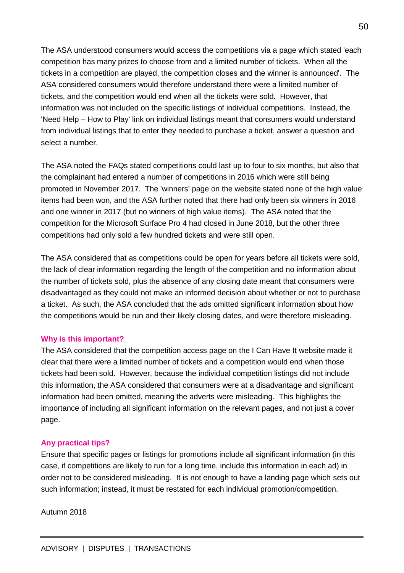The ASA understood consumers would access the competitions via a page which stated 'each competition has many prizes to choose from and a limited number of tickets. When all the tickets in a competition are played, the competition closes and the winner is announced'. The ASA considered consumers would therefore understand there were a limited number of tickets, and the competition would end when all the tickets were sold. However, that information was not included on the specific listings of individual competitions. Instead, the 'Need Help – How to Play' link on individual listings meant that consumers would understand from individual listings that to enter they needed to purchase a ticket, answer a question and select a number.

The ASA noted the FAQs stated competitions could last up to four to six months, but also that the complainant had entered a number of competitions in 2016 which were still being promoted in November 2017. The 'winners' page on the website stated none of the high value items had been won, and the ASA further noted that there had only been six winners in 2016 and one winner in 2017 (but no winners of high value items). The ASA noted that the competition for the Microsoft Surface Pro 4 had closed in June 2018, but the other three competitions had only sold a few hundred tickets and were still open.

The ASA considered that as competitions could be open for years before all tickets were sold, the lack of clear information regarding the length of the competition and no information about the number of tickets sold, plus the absence of any closing date meant that consumers were disadvantaged as they could not make an informed decision about whether or not to purchase a ticket. As such, the ASA concluded that the ads omitted significant information about how the competitions would be run and their likely closing dates, and were therefore misleading.

#### **Why is this important?**

The ASA considered that the competition access page on the I Can Have It website made it clear that there were a limited number of tickets and a competition would end when those tickets had been sold. However, because the individual competition listings did not include this information, the ASA considered that consumers were at a disadvantage and significant information had been omitted, meaning the adverts were misleading. This highlights the importance of including all significant information on the relevant pages, and not just a cover page.

#### **Any practical tips?**

Ensure that specific pages or listings for promotions include all significant information (in this case, if competitions are likely to run for a long time, include this information in each ad) in order not to be considered misleading. It is not enough to have a landing page which sets out such information; instead, it must be restated for each individual promotion/competition.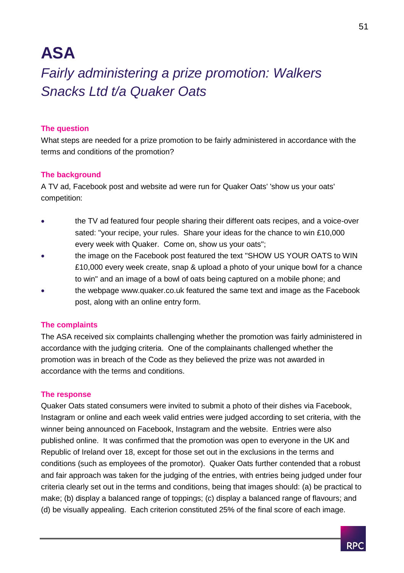## **ASA**

## <span id="page-51-0"></span>*Fairly administering a prize promotion: Walkers Snacks Ltd t/a Quaker Oats*

#### **The question**

What steps are needed for a prize promotion to be fairly administered in accordance with the terms and conditions of the promotion?

#### **The background**

A TV ad, Facebook post and website ad were run for Quaker Oats' 'show us your oats' competition:

- the TV ad featured four people sharing their different oats recipes, and a voice-over sated: "your recipe, your rules. Share your ideas for the chance to win £10,000 every week with Quaker. Come on, show us your oats";
- the image on the Facebook post featured the text "SHOW US YOUR OATS to WIN £10,000 every week create, snap & upload a photo of your unique bowl for a chance to win" and an image of a bowl of oats being captured on a mobile phone; and
- the webpage www.quaker.co.uk featured the same text and image as the Facebook post, along with an online entry form.

#### **The complaints**

The ASA received six complaints challenging whether the promotion was fairly administered in accordance with the judging criteria. One of the complainants challenged whether the promotion was in breach of the Code as they believed the prize was not awarded in accordance with the terms and conditions.

#### **The response**

Quaker Oats stated consumers were invited to submit a photo of their dishes via Facebook, Instagram or online and each week valid entries were judged according to set criteria, with the winner being announced on Facebook, Instagram and the website. Entries were also published online. It was confirmed that the promotion was open to everyone in the UK and Republic of Ireland over 18, except for those set out in the exclusions in the terms and conditions (such as employees of the promotor). Quaker Oats further contended that a robust and fair approach was taken for the judging of the entries, with entries being judged under four criteria clearly set out in the terms and conditions, being that images should: (a) be practical to make; (b) display a balanced range of toppings; (c) display a balanced range of flavours; and (d) be visually appealing. Each criterion constituted 25% of the final score of each image.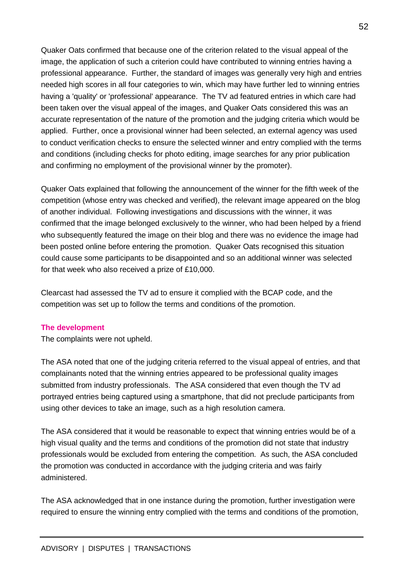Quaker Oats confirmed that because one of the criterion related to the visual appeal of the image, the application of such a criterion could have contributed to winning entries having a professional appearance. Further, the standard of images was generally very high and entries needed high scores in all four categories to win, which may have further led to winning entries having a 'quality' or 'professional' appearance. The TV ad featured entries in which care had been taken over the visual appeal of the images, and Quaker Oats considered this was an accurate representation of the nature of the promotion and the judging criteria which would be applied. Further, once a provisional winner had been selected, an external agency was used to conduct verification checks to ensure the selected winner and entry complied with the terms and conditions (including checks for photo editing, image searches for any prior publication and confirming no employment of the provisional winner by the promoter).

Quaker Oats explained that following the announcement of the winner for the fifth week of the competition (whose entry was checked and verified), the relevant image appeared on the blog of another individual. Following investigations and discussions with the winner, it was confirmed that the image belonged exclusively to the winner, who had been helped by a friend who subsequently featured the image on their blog and there was no evidence the image had been posted online before entering the promotion. Quaker Oats recognised this situation could cause some participants to be disappointed and so an additional winner was selected for that week who also received a prize of £10,000.

Clearcast had assessed the TV ad to ensure it complied with the BCAP code, and the competition was set up to follow the terms and conditions of the promotion.

#### **The development**

The complaints were not upheld.

The ASA noted that one of the judging criteria referred to the visual appeal of entries, and that complainants noted that the winning entries appeared to be professional quality images submitted from industry professionals. The ASA considered that even though the TV ad portrayed entries being captured using a smartphone, that did not preclude participants from using other devices to take an image, such as a high resolution camera.

The ASA considered that it would be reasonable to expect that winning entries would be of a high visual quality and the terms and conditions of the promotion did not state that industry professionals would be excluded from entering the competition. As such, the ASA concluded the promotion was conducted in accordance with the judging criteria and was fairly administered.

The ASA acknowledged that in one instance during the promotion, further investigation were required to ensure the winning entry complied with the terms and conditions of the promotion,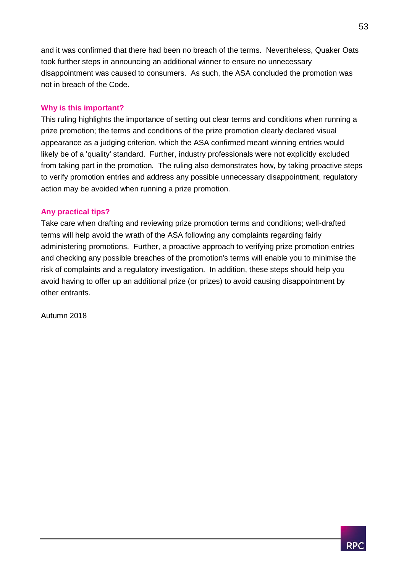and it was confirmed that there had been no breach of the terms. Nevertheless, Quaker Oats took further steps in announcing an additional winner to ensure no unnecessary disappointment was caused to consumers. As such, the ASA concluded the promotion was not in breach of the Code.

#### **Why is this important?**

This ruling highlights the importance of setting out clear terms and conditions when running a prize promotion; the terms and conditions of the prize promotion clearly declared visual appearance as a judging criterion, which the ASA confirmed meant winning entries would likely be of a 'quality' standard. Further, industry professionals were not explicitly excluded from taking part in the promotion. The ruling also demonstrates how, by taking proactive steps to verify promotion entries and address any possible unnecessary disappointment, regulatory action may be avoided when running a prize promotion.

#### **Any practical tips?**

Take care when drafting and reviewing prize promotion terms and conditions; well-drafted terms will help avoid the wrath of the ASA following any complaints regarding fairly administering promotions. Further, a proactive approach to verifying prize promotion entries and checking any possible breaches of the promotion's terms will enable you to minimise the risk of complaints and a regulatory investigation. In addition, these steps should help you avoid having to offer up an additional prize (or prizes) to avoid causing disappointment by other entrants.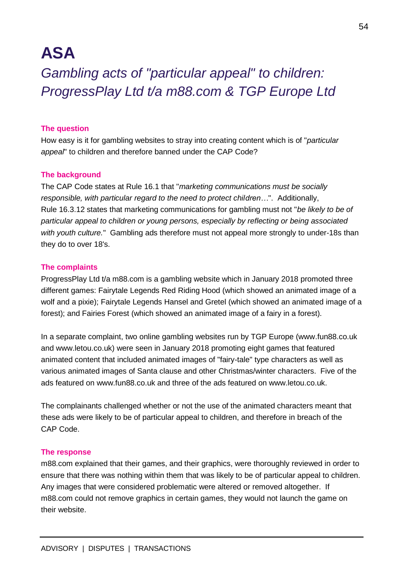## **ASA**

<span id="page-54-0"></span>*Gambling acts of "particular appeal" to children: ProgressPlay Ltd t/a m88.com & TGP Europe Ltd*

#### **The question**

How easy is it for gambling websites to stray into creating content which is of "*particular appeal*" to children and therefore banned under the CAP Code?

#### **The background**

The CAP Code states at Rule 16.1 that "*marketing communications must be socially responsible, with particular regard to the need to protect children…*". Additionally, Rule 16.3.12 states that marketing communications for gambling must not "*be likely to be of particular appeal to children or young persons, especially by reflecting or being associated*  with youth culture." Gambling ads therefore must not appeal more strongly to under-18s than they do to over 18's.

#### **The complaints**

ProgressPlay Ltd t/a m88.com is a gambling website which in January 2018 promoted three different games: Fairytale Legends Red Riding Hood (which showed an animated image of a wolf and a pixie); Fairytale Legends Hansel and Gretel (which showed an animated image of a forest); and Fairies Forest (which showed an animated image of a fairy in a forest).

In a separate complaint, two online gambling websites run by TGP Europe (www.fun88.co.uk and www.letou.co.uk) were seen in January 2018 promoting eight games that featured animated content that included animated images of "fairy-tale" type characters as well as various animated images of Santa clause and other Christmas/winter characters. Five of the ads featured on www.fun88.co.uk and three of the ads featured on www.letou.co.uk.

The complainants challenged whether or not the use of the animated characters meant that these ads were likely to be of particular appeal to children, and therefore in breach of the CAP Code.

#### **The response**

m88.com explained that their games, and their graphics, were thoroughly reviewed in order to ensure that there was nothing within them that was likely to be of particular appeal to children. Any images that were considered problematic were altered or removed altogether. If m88.com could not remove graphics in certain games, they would not launch the game on their website.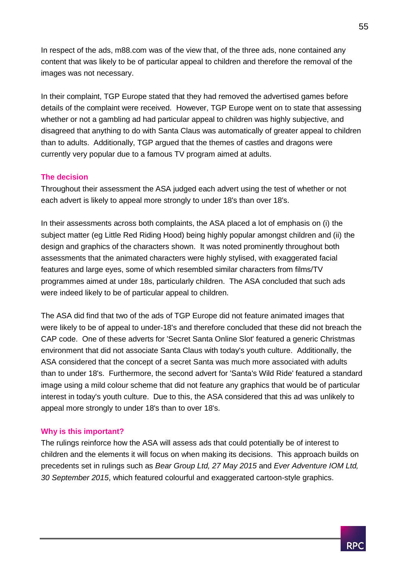In respect of the ads, m88.com was of the view that, of the three ads, none contained any content that was likely to be of particular appeal to children and therefore the removal of the images was not necessary.

In their complaint, TGP Europe stated that they had removed the advertised games before details of the complaint were received. However, TGP Europe went on to state that assessing whether or not a gambling ad had particular appeal to children was highly subjective, and disagreed that anything to do with Santa Claus was automatically of greater appeal to children than to adults. Additionally, TGP argued that the themes of castles and dragons were currently very popular due to a famous TV program aimed at adults.

#### **The decision**

Throughout their assessment the ASA judged each advert using the test of whether or not each advert is likely to appeal more strongly to under 18's than over 18's.

In their assessments across both complaints, the ASA placed a lot of emphasis on (i) the subject matter (eg Little Red Riding Hood) being highly popular amongst children and (ii) the design and graphics of the characters shown. It was noted prominently throughout both assessments that the animated characters were highly stylised, with exaggerated facial features and large eyes, some of which resembled similar characters from films/TV programmes aimed at under 18s, particularly children. The ASA concluded that such ads were indeed likely to be of particular appeal to children.

The ASA did find that two of the ads of TGP Europe did not feature animated images that were likely to be of appeal to under-18's and therefore concluded that these did not breach the CAP code. One of these adverts for 'Secret Santa Online Slot' featured a generic Christmas environment that did not associate Santa Claus with today's youth culture. Additionally, the ASA considered that the concept of a secret Santa was much more associated with adults than to under 18's. Furthermore, the second advert for 'Santa's Wild Ride' featured a standard image using a mild colour scheme that did not feature any graphics that would be of particular interest in today's youth culture. Due to this, the ASA considered that this ad was unlikely to appeal more strongly to under 18's than to over 18's.

#### **Why is this important?**

The rulings reinforce how the ASA will assess ads that could potentially be of interest to children and the elements it will focus on when making its decisions. This approach builds on precedents set in rulings such as *Bear Group Ltd, 27 May 2015* and *Ever Adventure IOM Ltd, 30 September 2015*, which featured colourful and exaggerated cartoon-style graphics.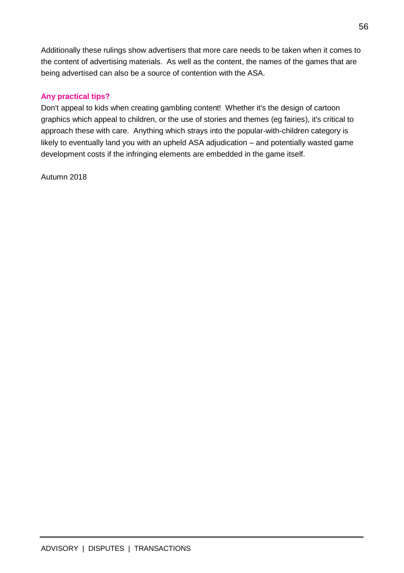Additionally these rulings show advertisers that more care needs to be taken when it comes to the content of advertising materials. As well as the content, the names of the games that are being advertised can also be a source of contention with the ASA.

#### **Any practical tips?**

Don't appeal to kids when creating gambling content! Whether it's the design of cartoon graphics which appeal to children, or the use of stories and themes (eg fairies), it's critical to approach these with care. Anything which strays into the popular-with-children category is likely to eventually land you with an upheld ASA adjudication – and potentially wasted game development costs if the infringing elements are embedded in the game itself.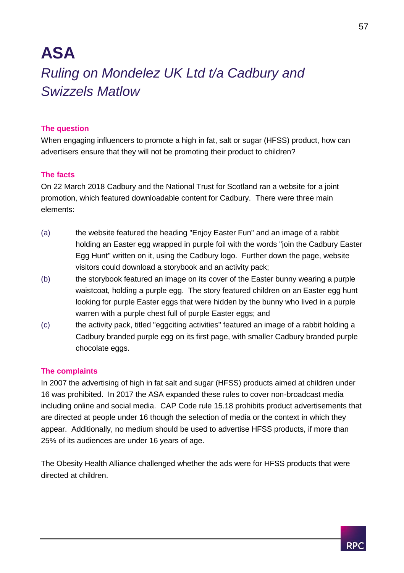## <span id="page-57-0"></span>**ASA**  *Ruling on Mondelez UK Ltd t/a Cadbury and Swizzels Matlow*

#### **The question**

When engaging influencers to promote a high in fat, salt or sugar (HFSS) product, how can advertisers ensure that they will not be promoting their product to children?

#### **The facts**

On 22 March 2018 Cadbury and the National Trust for Scotland ran a website for a joint promotion, which featured downloadable content for Cadbury. There were three main elements:

- (a) the website featured the heading "Enjoy Easter Fun" and an image of a rabbit holding an Easter egg wrapped in purple foil with the words "join the Cadbury Easter Egg Hunt" written on it, using the Cadbury logo. Further down the page, website visitors could download a storybook and an activity pack;
- (b) the storybook featured an image on its cover of the Easter bunny wearing a purple waistcoat, holding a purple egg. The story featured children on an Easter egg hunt looking for purple Easter eggs that were hidden by the bunny who lived in a purple warren with a purple chest full of purple Easter eggs; and
- (c) the activity pack, titled "eggciting activities" featured an image of a rabbit holding a Cadbury branded purple egg on its first page, with smaller Cadbury branded purple chocolate eggs.

#### **The complaints**

In 2007 the advertising of high in fat salt and sugar (HFSS) products aimed at children under 16 was prohibited. In 2017 the ASA expanded these rules to cover non-broadcast media including online and social media. CAP Code rule 15.18 prohibits product advertisements that are directed at people under 16 though the selection of media or the context in which they appear. Additionally, no medium should be used to advertise HFSS products, if more than 25% of its audiences are under 16 years of age.

The Obesity Health Alliance challenged whether the ads were for HFSS products that were directed at children.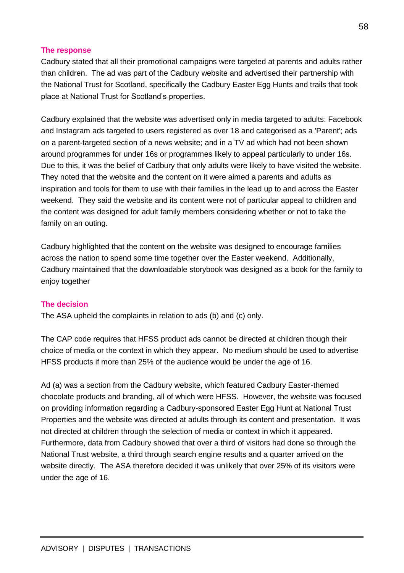#### **The response**

Cadbury stated that all their promotional campaigns were targeted at parents and adults rather than children. The ad was part of the Cadbury website and advertised their partnership with the National Trust for Scotland, specifically the Cadbury Easter Egg Hunts and trails that took place at National Trust for Scotland's properties.

Cadbury explained that the website was advertised only in media targeted to adults: Facebook and Instagram ads targeted to users registered as over 18 and categorised as a 'Parent'; ads on a parent-targeted section of a news website; and in a TV ad which had not been shown around programmes for under 16s or programmes likely to appeal particularly to under 16s. Due to this, it was the belief of Cadbury that only adults were likely to have visited the website. They noted that the website and the content on it were aimed a parents and adults as inspiration and tools for them to use with their families in the lead up to and across the Easter weekend. They said the website and its content were not of particular appeal to children and the content was designed for adult family members considering whether or not to take the family on an outing.

Cadbury highlighted that the content on the website was designed to encourage families across the nation to spend some time together over the Easter weekend. Additionally, Cadbury maintained that the downloadable storybook was designed as a book for the family to enjoy together

#### **The decision**

The ASA upheld the complaints in relation to ads (b) and (c) only.

The CAP code requires that HFSS product ads cannot be directed at children though their choice of media or the context in which they appear. No medium should be used to advertise HFSS products if more than 25% of the audience would be under the age of 16.

Ad (a) was a section from the Cadbury website, which featured Cadbury Easter-themed chocolate products and branding, all of which were HFSS. However, the website was focused on providing information regarding a Cadbury-sponsored Easter Egg Hunt at National Trust Properties and the website was directed at adults through its content and presentation. It was not directed at children through the selection of media or context in which it appeared. Furthermore, data from Cadbury showed that over a third of visitors had done so through the National Trust website, a third through search engine results and a quarter arrived on the website directly. The ASA therefore decided it was unlikely that over 25% of its visitors were under the age of 16.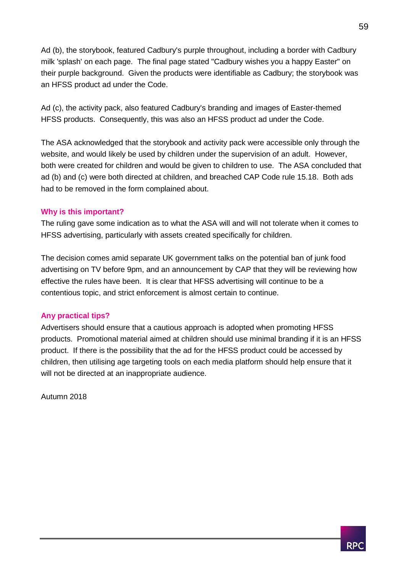Ad (b), the storybook, featured Cadbury's purple throughout, including a border with Cadbury milk 'splash' on each page. The final page stated "Cadbury wishes you a happy Easter" on their purple background. Given the products were identifiable as Cadbury; the storybook was an HFSS product ad under the Code.

Ad (c), the activity pack, also featured Cadbury's branding and images of Easter-themed HFSS products. Consequently, this was also an HFSS product ad under the Code.

The ASA acknowledged that the storybook and activity pack were accessible only through the website, and would likely be used by children under the supervision of an adult. However, both were created for children and would be given to children to use. The ASA concluded that ad (b) and (c) were both directed at children, and breached CAP Code rule 15.18. Both ads had to be removed in the form complained about.

#### **Why is this important?**

The ruling gave some indication as to what the ASA will and will not tolerate when it comes to HFSS advertising, particularly with assets created specifically for children.

The decision comes amid separate UK government talks on the potential ban of junk food advertising on TV before 9pm, and an announcement by CAP that they will be reviewing how effective the rules have been. It is clear that HFSS advertising will continue to be a contentious topic, and strict enforcement is almost certain to continue.

#### **Any practical tips?**

Advertisers should ensure that a cautious approach is adopted when promoting HFSS products. Promotional material aimed at children should use minimal branding if it is an HFSS product. If there is the possibility that the ad for the HFSS product could be accessed by children, then utilising age targeting tools on each media platform should help ensure that it will not be directed at an inappropriate audience.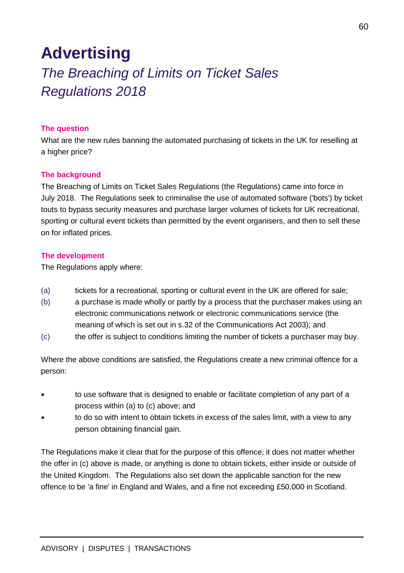## <span id="page-60-0"></span>**Advertising**

## <span id="page-60-1"></span>*The Breaching of Limits on Ticket Sales Regulations 2018*

#### **The question**

What are the new rules banning the automated purchasing of tickets in the UK for reselling at a higher price?

#### **The background**

The Breaching of Limits on Ticket Sales Regulations (the Regulations) came into force in July 2018. The Regulations seek to criminalise the use of automated software ('bots') by ticket touts to bypass security measures and purchase larger volumes of tickets for UK recreational, sporting or cultural event tickets than permitted by the event organisers, and then to sell these on for inflated prices.

#### **The development**

The Regulations apply where:

- (a) tickets for a recreational, sporting or cultural event in the UK are offered for sale;
- (b) a purchase is made wholly or partly by a process that the purchaser makes using an electronic communications network or electronic communications service (the meaning of which is set out in s.32 of the Communications Act 2003); and
- (c) the offer is subject to conditions limiting the number of tickets a purchaser may buy.

Where the above conditions are satisfied, the Regulations create a new criminal offence for a person:

- to use software that is designed to enable or facilitate completion of any part of a process within (a) to (c) above; and
- to do so with intent to obtain tickets in excess of the sales limit, with a view to any person obtaining financial gain.

The Regulations make it clear that for the purpose of this offence, it does not matter whether the offer in (c) above is made, or anything is done to obtain tickets, either inside or outside of the United Kingdom. The Regulations also set down the applicable sanction for the new offence to be 'a fine' in England and Wales, and a fine not exceeding £50,000 in Scotland.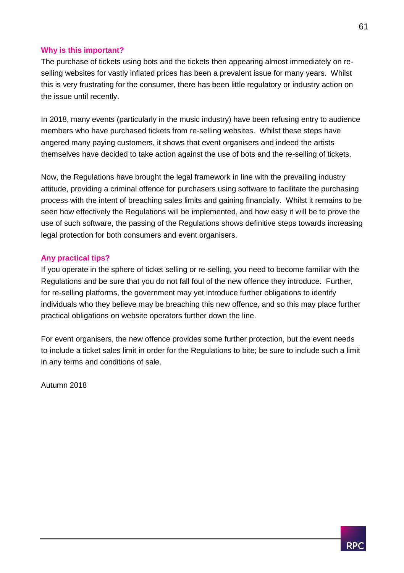#### **Why is this important?**

The purchase of tickets using bots and the tickets then appearing almost immediately on reselling websites for vastly inflated prices has been a prevalent issue for many years. Whilst this is very frustrating for the consumer, there has been little regulatory or industry action on the issue until recently.

In 2018, many events (particularly in the music industry) have been refusing entry to audience members who have purchased tickets from re-selling websites. Whilst these steps have angered many paying customers, it shows that event organisers and indeed the artists themselves have decided to take action against the use of bots and the re-selling of tickets.

Now, the Regulations have brought the legal framework in line with the prevailing industry attitude, providing a criminal offence for purchasers using software to facilitate the purchasing process with the intent of breaching sales limits and gaining financially. Whilst it remains to be seen how effectively the Regulations will be implemented, and how easy it will be to prove the use of such software, the passing of the Regulations shows definitive steps towards increasing legal protection for both consumers and event organisers.

#### **Any practical tips?**

If you operate in the sphere of ticket selling or re-selling, you need to become familiar with the Regulations and be sure that you do not fall foul of the new offence they introduce. Further, for re-selling platforms, the government may yet introduce further obligations to identify individuals who they believe may be breaching this new offence, and so this may place further practical obligations on website operators further down the line.

For event organisers, the new offence provides some further protection, but the event needs to include a ticket sales limit in order for the Regulations to bite; be sure to include such a limit in any terms and conditions of sale.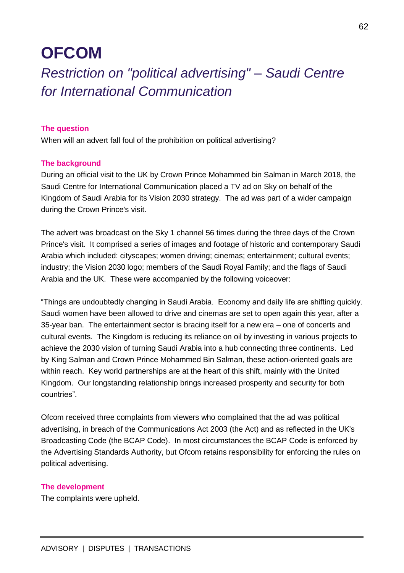## <span id="page-62-0"></span>**OFCOM**

## <span id="page-62-1"></span>*Restriction on "political advertising" – Saudi Centre for International Communication*

#### **The question**

When will an advert fall foul of the prohibition on political advertising?

#### **The background**

During an official visit to the UK by Crown Prince Mohammed bin Salman in March 2018, the Saudi Centre for International Communication placed a TV ad on Sky on behalf of the Kingdom of Saudi Arabia for its Vision 2030 strategy. The ad was part of a wider campaign during the Crown Prince's visit.

The advert was broadcast on the Sky 1 channel 56 times during the three days of the Crown Prince's visit. It comprised a series of images and footage of historic and contemporary Saudi Arabia which included: cityscapes; women driving; cinemas; entertainment; cultural events; industry; the Vision 2030 logo; members of the Saudi Royal Family; and the flags of Saudi Arabia and the UK. These were accompanied by the following voiceover:

"Things are undoubtedly changing in Saudi Arabia. Economy and daily life are shifting quickly. Saudi women have been allowed to drive and cinemas are set to open again this year, after a 35-year ban. The entertainment sector is bracing itself for a new era – one of concerts and cultural events. The Kingdom is reducing its reliance on oil by investing in various projects to achieve the 2030 vision of turning Saudi Arabia into a hub connecting three continents. Led by King Salman and Crown Prince Mohammed Bin Salman, these action-oriented goals are within reach. Key world partnerships are at the heart of this shift, mainly with the United Kingdom. Our longstanding relationship brings increased prosperity and security for both countries".

Ofcom received three complaints from viewers who complained that the ad was political advertising, in breach of the Communications Act 2003 (the Act) and as reflected in the UK's Broadcasting Code (the BCAP Code). In most circumstances the BCAP Code is enforced by the Advertising Standards Authority, but Ofcom retains responsibility for enforcing the rules on political advertising.

#### **The development**

The complaints were upheld.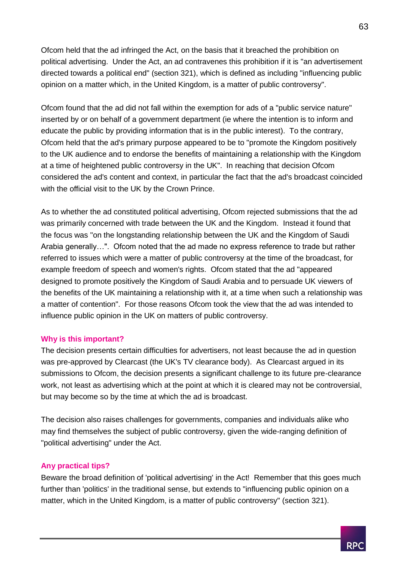Ofcom held that the ad infringed the Act, on the basis that it breached the prohibition on political advertising. Under the Act, an ad contravenes this prohibition if it is "an advertisement directed towards a political end" (section 321), which is defined as including "influencing public opinion on a matter which, in the United Kingdom, is a matter of public controversy".

Ofcom found that the ad did not fall within the exemption for ads of a "public service nature" inserted by or on behalf of a government department (ie where the intention is to inform and educate the public by providing information that is in the public interest). To the contrary, Ofcom held that the ad's primary purpose appeared to be to "promote the Kingdom positively to the UK audience and to endorse the benefits of maintaining a relationship with the Kingdom at a time of heightened public controversy in the UK". In reaching that decision Ofcom considered the ad's content and context, in particular the fact that the ad's broadcast coincided with the official visit to the UK by the Crown Prince.

As to whether the ad constituted political advertising, Ofcom rejected submissions that the ad was primarily concerned with trade between the UK and the Kingdom. Instead it found that the focus was "on the longstanding relationship between the UK and the Kingdom of Saudi Arabia generally…". Ofcom noted that the ad made no express reference to trade but rather referred to issues which were a matter of public controversy at the time of the broadcast, for example freedom of speech and women's rights. Ofcom stated that the ad "appeared designed to promote positively the Kingdom of Saudi Arabia and to persuade UK viewers of the benefits of the UK maintaining a relationship with it, at a time when such a relationship was a matter of contention". For those reasons Ofcom took the view that the ad was intended to influence public opinion in the UK on matters of public controversy.

#### **Why is this important?**

The decision presents certain difficulties for advertisers, not least because the ad in question was pre-approved by Clearcast (the UK's TV clearance body). As Clearcast argued in its submissions to Ofcom, the decision presents a significant challenge to its future pre-clearance work, not least as advertising which at the point at which it is cleared may not be controversial, but may become so by the time at which the ad is broadcast.

The decision also raises challenges for governments, companies and individuals alike who may find themselves the subject of public controversy, given the wide-ranging definition of "political advertising" under the Act.

#### **Any practical tips?**

Beware the broad definition of 'political advertising' in the Act! Remember that this goes much further than 'politics' in the traditional sense, but extends to "influencing public opinion on a matter, which in the United Kingdom, is a matter of public controversy" (section 321).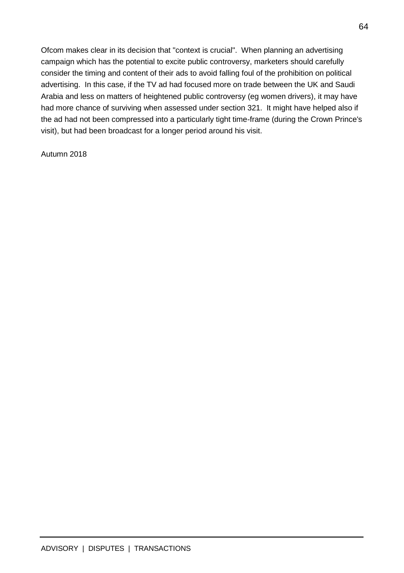Ofcom makes clear in its decision that "context is crucial". When planning an advertising campaign which has the potential to excite public controversy, marketers should carefully consider the timing and content of their ads to avoid falling foul of the prohibition on political advertising. In this case, if the TV ad had focused more on trade between the UK and Saudi Arabia and less on matters of heightened public controversy (eg women drivers), it may have had more chance of surviving when assessed under section 321. It might have helped also if the ad had not been compressed into a particularly tight time-frame (during the Crown Prince's visit), but had been broadcast for a longer period around his visit.